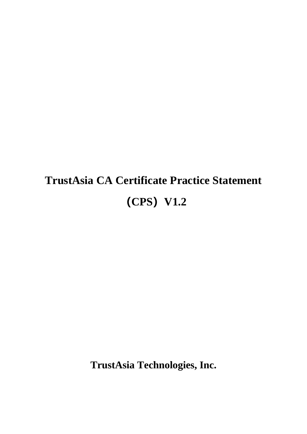# **TrustAsia CA Certificate Practice Statement (CPS)V1.2**

**TrustAsia Technologies, Inc.**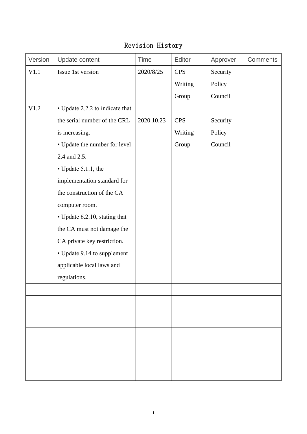# Revision History

| Version | Update content                  | <b>Time</b> | Editor     | Approver | <b>Comments</b> |
|---------|---------------------------------|-------------|------------|----------|-----------------|
| V1.1    | Issue 1st version               | 2020/8/25   | <b>CPS</b> | Security |                 |
|         |                                 |             | Writing    | Policy   |                 |
|         |                                 |             | Group      | Council  |                 |
| V1.2    | • Update 2.2.2 to indicate that |             |            |          |                 |
|         | the serial number of the CRL    | 2020.10.23  | <b>CPS</b> | Security |                 |
|         | is increasing.                  |             | Writing    | Policy   |                 |
|         | • Update the number for level   |             | Group      | Council  |                 |
|         | 2.4 and 2.5.                    |             |            |          |                 |
|         | • Update 5.1.1, the             |             |            |          |                 |
|         | implementation standard for     |             |            |          |                 |
|         | the construction of the CA      |             |            |          |                 |
|         | computer room.                  |             |            |          |                 |
|         | • Update 6.2.10, stating that   |             |            |          |                 |
|         | the CA must not damage the      |             |            |          |                 |
|         | CA private key restriction.     |             |            |          |                 |
|         | • Update 9.14 to supplement     |             |            |          |                 |
|         | applicable local laws and       |             |            |          |                 |
|         | regulations.                    |             |            |          |                 |
|         |                                 |             |            |          |                 |
|         |                                 |             |            |          |                 |
|         |                                 |             |            |          |                 |
|         |                                 |             |            |          |                 |
|         |                                 |             |            |          |                 |
|         |                                 |             |            |          |                 |
|         |                                 |             |            |          |                 |
|         |                                 |             |            |          |                 |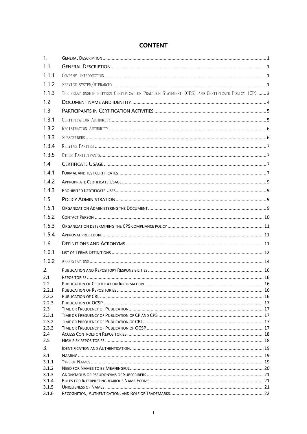### **CONTENT**

| 1.             |                                                                                                |  |
|----------------|------------------------------------------------------------------------------------------------|--|
| 1.1            |                                                                                                |  |
| 1.1.1          |                                                                                                |  |
| 1.1.2          |                                                                                                |  |
| 1.1.3          | THE RELATIONSHIP BETWEEN CERTIFICATION PRACTICE STATEMENT (CPS) AND CERTIFICATE POLICY (CP)  3 |  |
| 1.2            |                                                                                                |  |
| 1.3            |                                                                                                |  |
| 1.3.1          |                                                                                                |  |
| 1.3.2          |                                                                                                |  |
| 1.3.3          |                                                                                                |  |
| 1.3.4          |                                                                                                |  |
| 1.3.5          |                                                                                                |  |
| 1.4            |                                                                                                |  |
| 1.4.1          |                                                                                                |  |
| 1.4.2          |                                                                                                |  |
| 1.4.3          |                                                                                                |  |
| 1.5            |                                                                                                |  |
| 1.5.1          |                                                                                                |  |
| 1.5.2          |                                                                                                |  |
| 1.5.3          |                                                                                                |  |
| 1.5.4          |                                                                                                |  |
| 1.6            |                                                                                                |  |
| 1.6.1          |                                                                                                |  |
| 1.6.2          |                                                                                                |  |
| 2.             |                                                                                                |  |
| 2.1            |                                                                                                |  |
| 2.2            |                                                                                                |  |
| 2.2.1          |                                                                                                |  |
| 2.2.2<br>2.2.3 |                                                                                                |  |
| 2.3            |                                                                                                |  |
| 2.3.1          |                                                                                                |  |
| 2.3.2          |                                                                                                |  |
| 2.3.3          |                                                                                                |  |
| 2.4            |                                                                                                |  |
| 2.5            |                                                                                                |  |
| 3.             |                                                                                                |  |
| 3.1            |                                                                                                |  |
| 3.1.1          |                                                                                                |  |
| 3.1.2          |                                                                                                |  |
| 3.1.3          |                                                                                                |  |
| 3.1.4<br>3.1.5 |                                                                                                |  |
| 3.1.6          |                                                                                                |  |
|                |                                                                                                |  |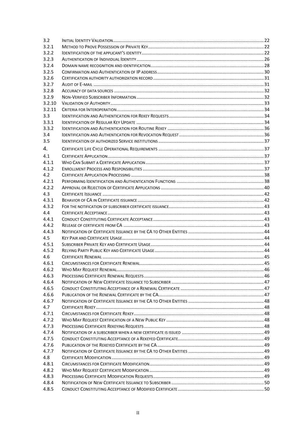| 3.2    |  |
|--------|--|
| 3.2.1  |  |
| 3.2.2  |  |
| 3.2.3  |  |
| 3.2.4  |  |
| 3.2.5  |  |
| 3.2.6  |  |
| 3.2.7  |  |
| 3.2.8  |  |
| 3.2.9  |  |
| 3.2.10 |  |
| 3.2.11 |  |
| 3.3    |  |
| 3.3.1  |  |
| 3.3.2  |  |
| 3.4    |  |
| 3.5    |  |
|        |  |
| 4.     |  |
| 4.1    |  |
| 4.1.1  |  |
| 4.1.2  |  |
| 4.2    |  |
| 4.2.1  |  |
| 4.2.2  |  |
| 4.3    |  |
| 4.3.1  |  |
| 4.3.2  |  |
| 4.4    |  |
|        |  |
| 4.4.1  |  |
| 4.4.2  |  |
| 4.4.3  |  |
| 4.5    |  |
|        |  |
| 4.5.1  |  |
| 4.5.2  |  |
| 4.6    |  |
| 4.6.1  |  |
| 4.6.2  |  |
| 4.6.3  |  |
| 4.6.4  |  |
| 4.6.5  |  |
| 4.6.6  |  |
| 4.6.7  |  |
| 4.7    |  |
| 4.7.1  |  |
| 4.7.2  |  |
| 4.7.3  |  |
| 4.7.4  |  |
| 4.7.5  |  |
| 4.7.6  |  |
| 4.7.7  |  |
| 4.8    |  |
| 4.8.1  |  |
| 4.8.2  |  |
| 4.8.3  |  |
| 4.8.4  |  |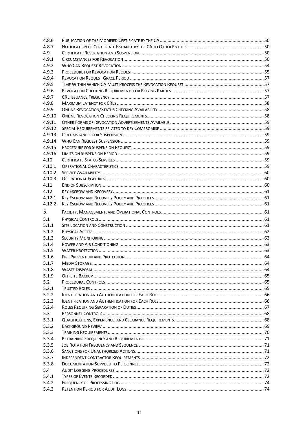| 4.8.6          |  |
|----------------|--|
| 4.8.7          |  |
| 4.9            |  |
| 4.9.1          |  |
| 4.9.2          |  |
| 4.9.3          |  |
| 4.9.4          |  |
| 4.9.5          |  |
| 4.9.6          |  |
| 4.9.7          |  |
| 4.9.8          |  |
| 4.9.9          |  |
| 4.9.10         |  |
| 4.9.11         |  |
| 4.9.12         |  |
| 4.9.13         |  |
| 4.9.14         |  |
| 4.9.15         |  |
| 4.9.16         |  |
| 4.10           |  |
| 4.10.1         |  |
| 4.10.2         |  |
| 4.10.3         |  |
| 4.11           |  |
| 4.12           |  |
| 4.12.1         |  |
| 4.12.2         |  |
| 5.             |  |
|                |  |
|                |  |
| 5.1            |  |
| 5.1.1          |  |
| 5.1.2          |  |
| 5.1.3          |  |
| 5.1.4          |  |
| 5.1.5          |  |
| 5.1.6          |  |
| 5.1.7          |  |
| 5.1.8          |  |
| 5.1.9          |  |
| 5.2            |  |
| 5.2.1          |  |
| 5.2.2          |  |
| 5.2.3          |  |
| 5.2.4          |  |
| 5.3            |  |
| 5.3.1          |  |
| 5.3.2          |  |
| 5.3.3          |  |
| 5.3.4          |  |
| 5.3.5          |  |
| 5.3.6          |  |
| 5.3.7          |  |
| 5.3.8          |  |
| 5.4            |  |
| 5.4.1          |  |
| 5.4.2<br>5.4.3 |  |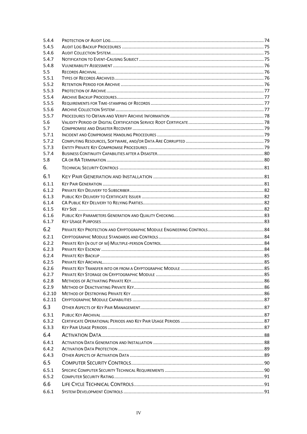| 5.4.4          |  |
|----------------|--|
| 5.4.5          |  |
| 5.4.6          |  |
| 5.4.7          |  |
| 5.4.8          |  |
| 5.5            |  |
| 5.5.1          |  |
| 5.5.2          |  |
| 5.5.3          |  |
| 5.5.4          |  |
| 5.5.5          |  |
| 5.5.6          |  |
| 5.5.7          |  |
| 5.6            |  |
| 5.7            |  |
| 5.7.1          |  |
| 5.7.2          |  |
| 5.7.3          |  |
| 5.7.4          |  |
| 5.8            |  |
| 6.             |  |
| 6.1            |  |
| 6.1.1          |  |
| 6.1.2          |  |
| 6.1.3          |  |
| 6.1.4          |  |
| 6.1.5          |  |
| 6.1.6          |  |
| 6.1.7          |  |
| 6.2            |  |
|                |  |
| 6.2.1          |  |
| 6.2.2          |  |
| 6.2.3          |  |
| 6.2.4          |  |
| 6.2.5<br>6.2.6 |  |
|                |  |
| 6.2.7<br>6.2.8 |  |
| 6.2.9          |  |
| 6.2.10         |  |
| 6.2.11         |  |
|                |  |
| 6.3            |  |
| 6.3.1          |  |
| 6.3.2          |  |
| 6.3.3          |  |
| 6.4            |  |
| 6.4.1          |  |
| 6.4.2          |  |
| 6.4.3          |  |
| 6.5            |  |
| 6.5.1          |  |
| 6.5.2          |  |
|                |  |
| 6.6            |  |
| 6.6.1          |  |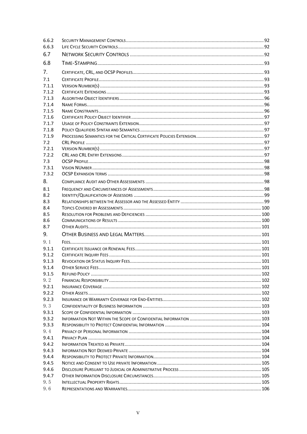| 6.6.3          |                            |  |
|----------------|----------------------------|--|
|                |                            |  |
| 6.7            |                            |  |
| 6.8            |                            |  |
| 7 <sub>1</sub> |                            |  |
| 7.1            |                            |  |
| 7.1.1          |                            |  |
| 7.1.2          |                            |  |
| 7.1.3          |                            |  |
| 7.1.4          |                            |  |
| 7.1.5          |                            |  |
| 7.1.6          |                            |  |
| 7.1.7          |                            |  |
| 7.1.8          |                            |  |
| 7.1.9          |                            |  |
| 7.2            |                            |  |
| 7.2.1          |                            |  |
| 7.2.2          |                            |  |
| 7.3            |                            |  |
| 7.3.1          |                            |  |
| 7.3.2          |                            |  |
| 8.             |                            |  |
| 8.1            |                            |  |
| 8.2            |                            |  |
| 8.3            |                            |  |
| 8.4            |                            |  |
| 8.5            |                            |  |
| 8.6            |                            |  |
| 8.7            |                            |  |
| 9.             |                            |  |
| 9.1            |                            |  |
|                |                            |  |
| 9.1.1          |                            |  |
| 9.1.2          |                            |  |
| 9.1.3          |                            |  |
| 9.1.4          | <b>OTHER SERVICE FEES.</b> |  |
| 9.1.5          |                            |  |
| 9.2            |                            |  |
| 9.2.1          |                            |  |
| 9.2.2          |                            |  |
| 9.2.3          |                            |  |
| 9.3            |                            |  |
| 9.3.1          |                            |  |
| 9.3.2          |                            |  |
| 9.3.3          |                            |  |
| 9.4            |                            |  |
| 9.4.1          |                            |  |
| 9.4.2          |                            |  |
| 9.4.3          |                            |  |
| 9.4.4          |                            |  |
| 9.4.5          |                            |  |
| 9.4.6          |                            |  |
| 9.4.7          |                            |  |
| 9.5            |                            |  |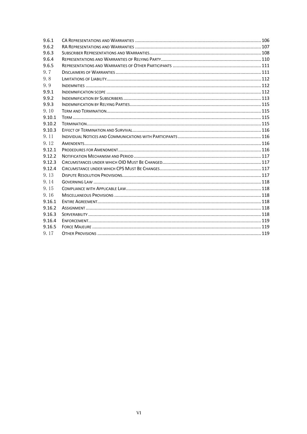| 9.6.1  |  |
|--------|--|
| 9.6.2  |  |
| 9.6.3  |  |
| 9.6.4  |  |
| 9.6.5  |  |
| 9.7    |  |
| 9.8    |  |
| 9.9    |  |
| 9.9.1  |  |
| 9.9.2  |  |
| 9.9.3  |  |
| 9.10   |  |
| 9.10.1 |  |
| 9.10.2 |  |
| 9.10.3 |  |
| 9.11   |  |
| 9.12   |  |
| 9.12.1 |  |
| 9.12.2 |  |
| 9.12.3 |  |
| 9.12.4 |  |
| 9.13   |  |
| 9.14   |  |
| 9.15   |  |
| 9.16   |  |
| 9.16.1 |  |
| 9.16.2 |  |
| 9.16.3 |  |
| 9.16.4 |  |
| 9.16.5 |  |
| 9.17   |  |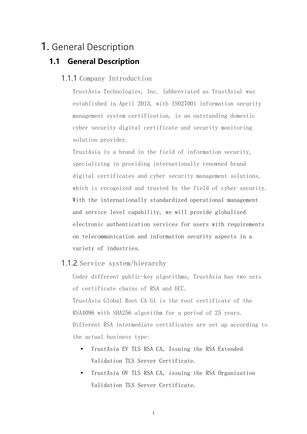# <span id="page-8-1"></span><span id="page-8-0"></span>1. General Description

# <span id="page-8-2"></span>**1.1 General Description**

### 1.1.1 Company Introduction

TrustAsia Technologies, Inc. (abbreviated as TrustAsia) was established in April 2013, with ISO27001 information security management system certification, is an outstanding domestic cyber security digital certificate and security monitoring solution provider.

TrustAsia is a brand in the field of information security, specializing in providing internationally renowned brand digital certificates and cyber security management solutions, which is recognized and trusted by the field of cyber security. With the internationally standardized operational management and service level capability, we will provide globalized electronic authentication services for users with requirements on telecommunication and information security aspects in a variety of industries.

### <span id="page-8-3"></span>1.1.2 Service system/hierarchy

Under different public-key algorithms, TrustAsia has two sets of certificate chains of RSA and ECC. TrustAsia Global Root CA G1 is the root certificate of the RSA4096 with SHA256 algorithm for a period of 25 years. Different RSA intermediate certificates are set up according to the actual business type:

- TrustAsia EV TLS RSA CA, Issuing the RSA Extended Validation TLS Server Certificate.
- TrustAsia OV TLS RSA CA, issuing the RSA Organization Validation TLS Server Certificate.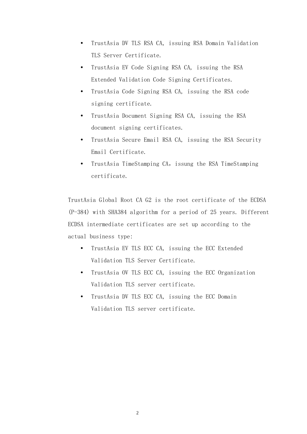- TrustAsia DV TLS RSA CA, issuing RSA Domain Validation TLS Server Certificate.
- TrustAsia EV Code Signing RSA CA, issuing the RSA Extended Validation Code Signing Certificates.
- TrustAsia Code Signing RSA CA, issuing the RSA code signing certificate.
- TrustAsia Document Signing RSA CA, issuing the RSA document signing certificates.
- TrustAsia Secure Email RSA CA, issuing the RSA Security Email Certificate.
- TrustAsia TimeStamping CA, issung the RSA TimeStamping certificate.

TrustAsia Global Root CA G2 is the root certificate of the ECDSA (P-384) with SHA384 algorithm for a period of 25 years. Different ECDSA intermediate certificates are set up according to the actual business type:

- TrustAsia EV TLS ECC CA, issuing the ECC Extended Validation TLS Server Certificate.
- TrustAsia OV TLS ECC CA, issuing the ECC Organization Validation TLS server certificate.
- TrustAsia DV TLS ECC CA, issuing the ECC Domain Validation TLS server certificate.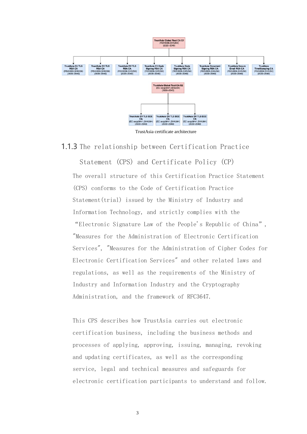

TrustAsia certificate architecture

<span id="page-10-0"></span>1.1.3 The relationship between Certification Practice

Statement (CPS) and Certificate Policy (CP) The overall structure of this Certification Practice Statement (CPS) conforms to the Code of Certification Practice Statement(trial) issued by the Ministry of Industry and Information Technology, and strictly complies with the "Electronic Signature Law of the People's Republic of China", "Measures for the Administration of Electronic Certification Services", "Measures for the Administration of Cipher Codes for Electronic Certification Services" and other related laws and regulations, as well as the requirements of the Ministry of Industry and Information Industry and the Cryptography Administration, and the framework of RFC3647.

This CPS describes how TrustAsia carries out electronic certification business, including the business methods and processes of applying, approving, issuing, managing, revoking and updating certificates, as well as the corresponding service, legal and technical measures and safeguards for electronic certification participants to understand and follow.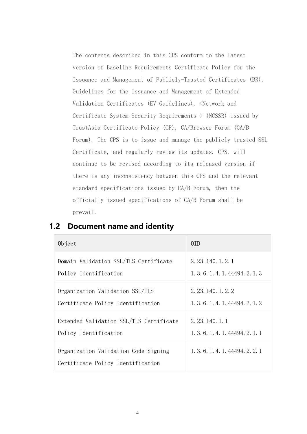The contents described in this CPS conform to the latest version of Baseline Requirements Certificate Policy for the Issuance and Management of Publicly-Trusted Certificates (BR), Guidelines for the Issuance and Management of Extended Validation Certificates (EV Guidelines), <Network and Certificate System Security Requirements > (NCSSR) issued by TrustAsia Certificate Policy (CP), CA/Browser Forum (CA/B Forum). The CPS is to issue and manage the publicly trusted SSL Certificate, and regularly review its updates. CPS, will continue to be revised according to its released version if there is any inconsistency between this CPS and the relevant standard specifications issued by CA/B Forum, then the officially issued specifications of CA/B Forum shall be prevail.

| Object                                                                    | 0ID                              |
|---------------------------------------------------------------------------|----------------------------------|
| Domain Validation SSL/TLS Certificate                                     | 2. 23. 140. 1. 2. 1              |
| Policy Identification                                                     | 1, 3, 6, 1, 4, 1, 44494, 2, 1, 3 |
| Organization Validation SSL/TLS                                           | 2. 23. 140. 1. 2. 2              |
| Certificate Policy Identification                                         | 1, 3, 6, 1, 4, 1, 44494, 2, 1, 2 |
| Extended Validation SSL/TLS Certificate                                   | 2. 23. 140. 1. 1                 |
| Policy Identification                                                     | 1, 3, 6, 1, 4, 1, 44494, 2, 1, 1 |
| Organization Validation Code Signing<br>Certificate Policy Identification | 1, 3, 6, 1, 4, 1, 44494, 2, 2, 1 |

### <span id="page-11-0"></span>**1.2 Document name and identity**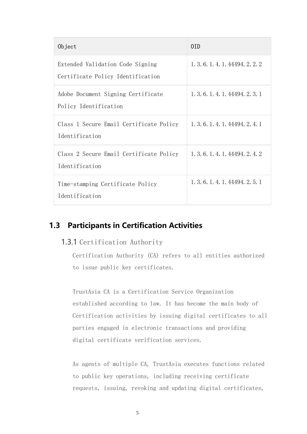| Object                                                                | 0ID                              |
|-----------------------------------------------------------------------|----------------------------------|
| Extended Validation Code Signing<br>Certificate Policy Identification | 1, 3, 6, 1, 4, 1, 44494, 2, 2, 2 |
| Adobe Document Signing Certificate<br>Policy Identification           | 1, 3, 6, 1, 4, 1, 44494, 2, 3, 1 |
| Class 1 Secure Email Certificate Policy<br>Identification             | 1, 3, 6, 1, 4, 1, 44494, 2, 4, 1 |
| Class 2 Secure Email Certificate Policy<br>Identification             | 1, 3, 6, 1, 4, 1, 44494, 2, 4, 2 |
| Time-stamping Certificate Policy<br>Identification                    | 1. 3. 6. 1. 4. 1. 44494. 2. 5. 1 |

# <span id="page-12-1"></span><span id="page-12-0"></span>**1.3 Participants in Certification Activities**

### 1.3.1 Certification Authority

Certification Authority (CA) refers to all entities authorized to issue public key certificates.

TrustAsia CA is a Certification Service Organization established according to law. It has become the main body of Certification activities by issuing digital certificates to all parties engaged in electronic transactions and providing digital certificate verification services.

As agents of multiple CA, TrustAsia executes functions related to public key operations, including receiving certificate requests, issuing, revoking and updating digital certificates,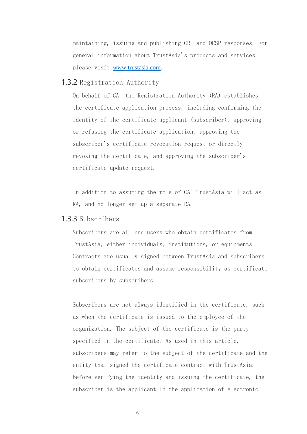maintaining, issuing and publishing CRL and OCSP responses. For general information about TrustAsia's products and services, please visit www.trustasia.com.

### <span id="page-13-0"></span>1.3.2 Registration Authority

On behalf of CA, the Registration Authority (RA) establishes the certificate application process, including confirming the identity of the certificate applicant (subscriber), approving or refusing the certificate application, approving the subscriber's certificate revocation request or directly revoking the certificate, and approving the subscriber's certificate update request.

In addition to assuming the role of CA, TrustAsia will act as RA, and no longer set up a separate RA.

### <span id="page-13-1"></span>1.3.3 Subscribers

Subscribers are all end-users who obtain certificates from TrustAsia, either individuals, institutions, or equipments. Contracts are usually signed between TrustAsia and subscribers to obtain certificates and assume responsibility as certificate subscribers by subscribers.

Subscribers are not always identified in the certificate, such as when the certificate is issued to the employee of the organization. The subject of the certificate is the party specified in the certificate. As used in this article, subscribers may refer to the subject of the certificate and the entity that signed the certificate contract with TrustAsia. Before verifying the identity and issuing the certificate, the subscriber is the applicant.In the application of electronic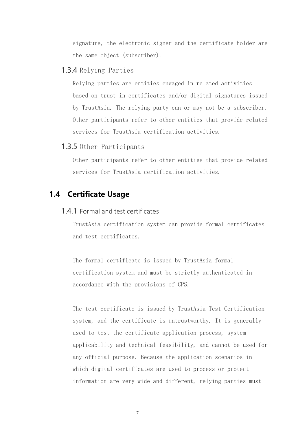signature, the electronic signer and the certificate holder are the same object (subscriber).

### <span id="page-14-0"></span>1.3.4 Relying Parties

Relying parties are entities engaged in related activities based on trust in certificates and/or digital signatures issued by TrustAsia. The relying party can or may not be a subscriber. Other participants refer to other entities that provide related services for TrustAsia certification activities.

### <span id="page-14-1"></span>1.3.5 Other Participants

Other participants refer to other entities that provide related services for TrustAsia certification activities.

## <span id="page-14-3"></span><span id="page-14-2"></span>**1.4 Certificate Usage**

### 1.4.1 Formal and test certificates

TrustAsia certification system can provide formal certificates and test certificates.

The formal certificate is issued by TrustAsia formal certification system and must be strictly authenticated in accordance with the provisions of CPS.

The test certificate is issued by TrustAsia Test Certification system, and the certificate is untrustworthy. It is generally used to test the certificate application process, system applicability and technical feasibility, and cannot be used for any official purpose. Because the application scenarios in which digital certificates are used to process or protect information are very wide and different, relying parties must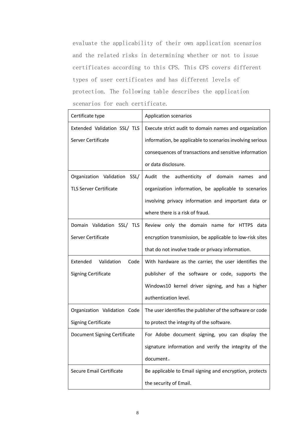evaluate the applicability of their own application scenarios and the related risks in determining whether or not to issue certificates according to this CPS. This CPS covers different types of user certificates and has different levels of protection. The following table describes the application scenarios for each certificate.

| Certificate type               | <b>Application scenarios</b>                              |
|--------------------------------|-----------------------------------------------------------|
| Extended Validation SSL/ TLS   | Execute strict audit to domain names and organization     |
| Server Certificate             | information, be applicable to scenarios involving serious |
|                                | consequences of transactions and sensitive information    |
|                                | or data disclosure.                                       |
| Organization Validation SSL/   | Audit<br>the<br>authenticity of domain<br>names<br>and    |
| <b>TLS Server Certificate</b>  | organization information, be applicable to scenarios      |
|                                | involving privacy information and important data or       |
|                                | where there is a risk of fraud.                           |
| Domain Validation SSL/ TLS     | Review only the domain name for HTTPS data                |
| Server Certificate             | encryption transmission, be applicable to low-risk sites  |
|                                | that do not involve trade or privacy information.         |
| Extended<br>Validation<br>Code | With hardware as the carrier, the user identifies the     |
| <b>Signing Certificate</b>     | publisher of the software or code, supports the           |
|                                | Windows10 kernel driver signing, and has a higher         |
|                                | authentication level.                                     |
| Organization Validation Code   | The user identifies the publisher of the software or code |
| <b>Signing Certificate</b>     | to protect the integrity of the software.                 |
| Document Signing Certificate   | For Adobe document signing, you can display the           |
|                                | signature information and verify the integrity of the     |
|                                | document.                                                 |
| Secure Email Certificate       | Be applicable to Email signing and encryption, protects   |
|                                | the security of Email.                                    |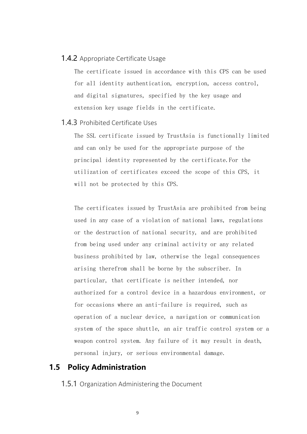### <span id="page-16-0"></span>1.4.2 Appropriate Certificate Usage

The certificate issued in accordance with this CPS can be used for all identity authentication, encryption, access control, and digital signatures, specified by the key usage and extension key usage fields in the certificate.

### <span id="page-16-1"></span>1.4.3 Prohibited Certificate Uses

The SSL certificate issued by TrustAsia is functionally limited and can only be used for the appropriate purpose of the principal identity represented by the certificate.For the utilization of certificates exceed the scope of this CPS, it will not be protected by this CPS.

The certificates issued by TrustAsia are prohibited from being used in any case of a violation of national laws, regulations or the destruction of national security, and are prohibited from being used under any criminal activity or any related business prohibited by law, otherwise the legal consequences arising therefrom shall be borne by the subscriber. In particular, that certificate is neither intended, nor authorized for a control device in a hazardous environment, or for occasions where an anti-failure is required, such as operation of a nuclear device, a navigation or communication system of the space shuttle, an air traffic control system or a weapon control system. Any failure of it may result in death, personal injury, or serious environmental damage.

### <span id="page-16-3"></span><span id="page-16-2"></span>**1.5 Policy Administration**

**1.5.1** Organization Administering the Document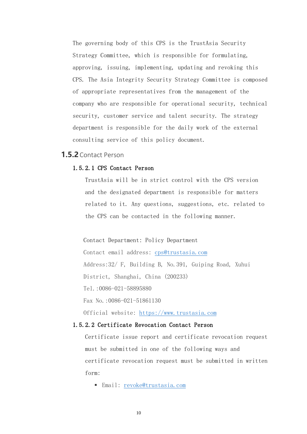The governing body of this CPS is the TrustAsia Security Strategy Committee, which is responsible for formulating, approving, issuing, implementing, updating and revoking this CPS. The Asia Integrity Security Strategy Committee is composed of appropriate representatives from the management of the company who are responsible for operational security, technical security, customer service and talent security. The strategy department is responsible for the daily work of the external consulting service of this policy document.

### <span id="page-17-0"></span>**1.5.2**Contact Person

### 1.5.2.1 CPS Contact Person

TrustAsia will be in strict control with the CPS version and the designated department is responsible for matters related to it. Any questions, suggestions, etc. related to the CPS can be contacted in the following manner.

Contact Department: Policy Department

Contact email address: [cps@trustasia.com](mailto:cps@trustasia.com) Address:32/ F, Building B, No.391, Guiping Road, Xuhui District, Shanghai, China (200233) Tel.:0086-021-58895880 Fax No.:0086-021-51861130 Official website: [https://www.trustasia.com](https://www.trustasia.com/)

### 1.5.2.2 Certificate Revocation Contact Person

Certificate issue report and certificate revocation request must be submitted in one of the following ways and certificate revocation request must be submitted in written form:

▪ Email: [revoke@trustasia.com](mailto:revoke@trustasia.com)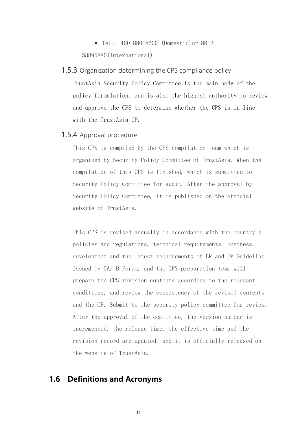▪ Tel.: 400-880-8600 (Domestic)or 86-21- 58895880(International)

### <span id="page-18-0"></span>**1.5.3** Organization determining the CPS compliance policy

TrustAsia Security Policy Committee is the main body of the policy formulation, and is also the highest authority to review and approve the CPS to determine whether the CPS is in line with the TrustAsia CP.

### <span id="page-18-1"></span>1.5.4 Approval procedure

This CPS is compiled by the CPS compilation team which is organized by Security Policy Committee of TrustAsia. When the compilation of this CPS is finished, which is submitted to Security Policy Committee for audit. After the approval by Security Policy Committee, it is published on the official website of TrustAsia.

This CPS is revised annually in accordance with the country's policies and regulations, technical requirements, business development and the latest requirements of BR and EV Guideline issued by CA/ B Forum, and the CPS preparation team will prepare the CPS revision contents according to the relevant conditions, and review the consistency of the revised contents and the CP. Submit to the security policy committee for review. After the approval of the committee, the version number is incremented, the release time, the effective time and the revision record are updated, and it is officially released on the website of TrustAsia.

### <span id="page-18-2"></span>**1.6 Definitions and Acronyms**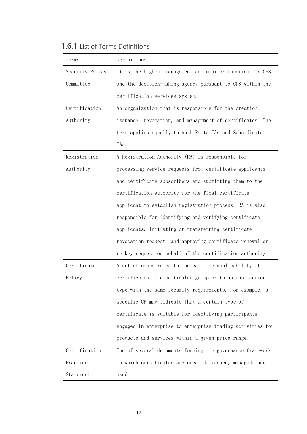<span id="page-19-0"></span>

|  | <b>1.6.1</b> List of Terms Definitions |
|--|----------------------------------------|
|  |                                        |

| Terms           | Definitions                                                |
|-----------------|------------------------------------------------------------|
| Security Policy | It is the highest management and monitor function for CPS  |
| Committee       | and the decision-making agency pursuant to CPS within the  |
|                 | certification services system.                             |
| Certification   | An organization that is responsible for the creation,      |
| Authority       | issuance, revocation, and management of certificates. The  |
|                 | term applies equally to both Roots CAs and Subordinate     |
|                 | CAs.                                                       |
| Registration    | A Registration Authority (RA) is responsible for           |
| Authority       | processing service requests from certificate applicants    |
|                 | and certificate subscribers and submitting them to the     |
|                 | certification authority for the final certificate          |
|                 | applicant to establish registration process. RA is also    |
|                 | responsible for identifying and verifying certificate      |
|                 | applicants, initiating or transferring certificate         |
|                 | revocation request, and approving certificate renewal or   |
|                 | re-key request on behalf of the certification authority.   |
| Certificate     | A set of named rules to indicate the applicability of      |
| Policy          | certificates to a particular group or to an application    |
|                 | type with the same security requirements. For example, a   |
|                 | specific CP may indicate that a certain type of            |
|                 | certificate is suitable for identifying participants       |
|                 | engaged in enterprise-to-enterprise trading activities for |
|                 | products and services within a given price range.          |
| Certification   | One of several documents forming the governance framework  |
| Practice        | in which certificates are created, issued, managed, and    |
| Statement       | used.                                                      |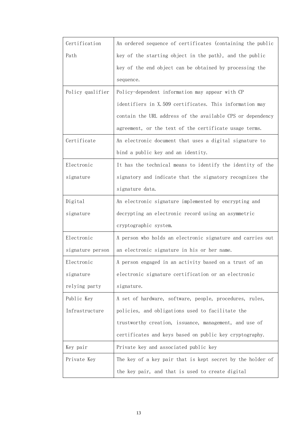| Certification    | An ordered sequence of certificates (containing the public |
|------------------|------------------------------------------------------------|
| Path             | key of the starting object in the path), and the public    |
|                  | key of the end object can be obtained by processing the    |
|                  | sequence.                                                  |
| Policy qualifier | Policy-dependent information may appear with CP            |
|                  | identifiers in X.509 certificates. This information may    |
|                  | contain the URL address of the available CPS or dependency |
|                  | agreement, or the text of the certificate usage terms.     |
| Certificate      | An electronic document that uses a digital signature to    |
|                  | bind a public key and an identity.                         |
| Electronic       | It has the technical means to identify the identity of the |
| signature        | signatory and indicate that the signatory recognizes the   |
|                  | signature data.                                            |
| Digital          | An electronic signature implemented by encrypting and      |
| signature        | decrypting an electronic record using an asymmetric        |
|                  | cryptographic system.                                      |
| Electronic       | A person who holds an electronic signature and carries out |
| signature person | an electronic signature in his or her name.                |
| Electronic       | A person engaged in an activity based on a trust of an     |
| signature        | electronic signature certification or an electronic        |
| relying party    | signature.                                                 |
| Public Key       | A set of hardware, software, people, procedures, rules,    |
| Infrastructure   | policies, and obligations used to facilitate the           |
|                  | trustworthy creation, issuance, management, and use of     |
|                  | certificates and keys based on public key cryptography.    |
| Key pair         | Private key and associated public key                      |
| Private Key      | The key of a key pair that is kept secret by the holder of |
|                  | the key pair, and that is used to create digital           |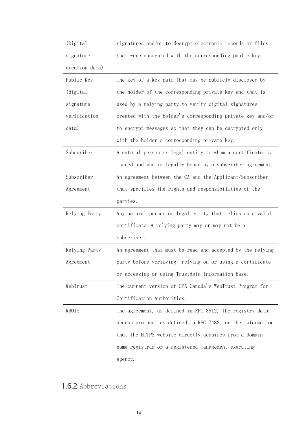| (Digital)      | signatures and/or to decrypt electronic records or files   |
|----------------|------------------------------------------------------------|
| signature      | that were encrypted with the corresponding public key.     |
| creation data) |                                                            |
| Public Key     | The key of a key pair that may be publicly disclosed by    |
| (digital)      | the holder of the corresponding private key and that is    |
| signature      | used by a relying party to verify digital signatures       |
| verification   | created with the holder's corresponding private key and/or |
| data)          | to encrypt messages so that they can be decrypted only     |
|                | with the holder's corresponding private key.               |
| Subscriber     | A natural person or legal entity to whom a certificate is  |
|                | issued and who is legally bound by a subscriber agreement. |
| Subscriber     | An agreement between the CA and the Applicant/Subscriber   |
| Agreement      | that specifies the rights and responsibilities of the      |
|                | parties.                                                   |
| Relying Party  | Any natural person or legal entity that relies on a valid  |
|                | certificate. A relying party may or may not be a           |
|                | subscriber.                                                |
| Relying Party  | An agreement that must be read and accepted by the relying |
| Agreement      | party before verifying, relying on or using a certificate  |
|                | or accessing or using TrustAsia Information Base.          |
| WebTrust       | The current version of CPA Canada's WebTrust Program for   |
|                | Certification Authorities.                                 |
| WHOIS          | The agreement, as defined in RFC 3912, the registry data   |
|                | access protocol as defined in RFC 7482, or the information |
|                | that the HTTPS website directly acquires from a domain     |
|                | name registrar or a registered management executing        |
|                | agency.                                                    |

# <span id="page-21-0"></span>1.6.2 Abbreviations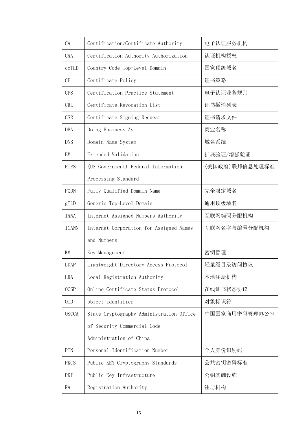| CA           | Certification/Certificate Authority      | 电子认证服务机构       |
|--------------|------------------------------------------|----------------|
| CAA          | Certification Authority Authorization    | 认证机构授权         |
| ccTLD        | Country Code Top-Level Domain            | 国家顶级域名         |
| CP           | Certificate Policy                       | 证书策略           |
| <b>CPS</b>   | Certification Practice Statement         | 电子认证业务规则       |
| <b>CRL</b>   | Certificate Revocation List              | 证书撤消列表         |
| <b>CSR</b>   | Certificate Signing Request              | 证书请求文件         |
| DBA          | Doing Business As                        | 商业名称           |
| <b>DNS</b>   | Domain Name System                       | 域名系统           |
| EV           | Extended Validation                      | 扩展验证/增强验证      |
| <b>FIPS</b>  | (US Government) Federal Information      | (美国政府)联邦信息处理标准 |
|              | Processing Standard                      |                |
| FQDN         | Fully Qualified Domain Name              | 完全限定域名         |
| gTLD         | Generic Top-Level Domain                 | 通用顶级域名         |
| <b>IANA</b>  | Internet Assigned Numbers Authority      | 互联网编码分配机构      |
| <b>ICANN</b> | Internet Corporation for Assigned Names  | 互联网名字与编号分配机构   |
|              | and Numbers                              |                |
| KM           | Key Management                           | 密钥管理           |
| <b>LDAP</b>  | Lightweight Directory Access Protocol    | 轻量级目录访问协议      |
| LRA          | Local Registration Authority             | 本地注册机构         |
| <b>OCSP</b>  | Online Certificate Status Protocol       | 在线证书状态协议       |
| 0ID          | object identifier                        | 对象标识符          |
| <b>OSCCA</b> | State Cryptography Administration Office | 中国国家商用密码管理办公室  |
|              | of Security Commercial Code              |                |
|              | Administration of China                  |                |
| PIN          | Personal Identification Number           | 个人身份识别码        |
| <b>PKCS</b>  | Public KEY Cryptography Standards        | 公共密钥密码标准       |
| PKI          | Public Key Infrastructure                | 公钥基础设施         |
| RA           | Registration Authority                   | 注册机构           |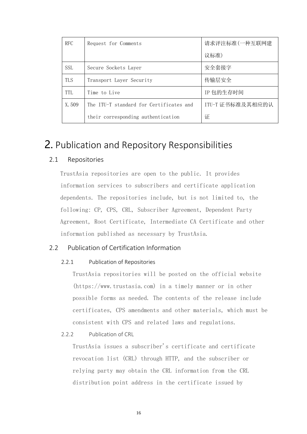| <b>RFC</b> | Request for Comments                    | 请求评注标准(一种互联网建    |
|------------|-----------------------------------------|------------------|
|            |                                         | 议标准)             |
| <b>SSL</b> | Secure Sockets Layer                    | 安全套接字            |
| <b>TLS</b> | Transport Layer Security                | 传输层安全            |
| TTL.       | Time to Live                            | IP 包的生存时间        |
| X.509      | The ITU-T standard for Certificates and | ITU-T 证书标准及其相应的认 |
|            | their corresponding authentication      | 证                |

# <span id="page-23-0"></span>2. Publication and Repository Responsibilities

### <span id="page-23-1"></span>2.1 Repositories

TrustAsia repositories are open to the public. It provides information services to subscribers and certificate application dependents. The repositories include, but is not limited to, the following: CP, CPS, CRL, Subscriber Agreement, Dependent Party Agreement, Root Certificate, Intermediate CA Certificate and other information published as necessary by TrustAsia.

### <span id="page-23-3"></span><span id="page-23-2"></span>2.2 Publication of Certification Information

### 2.2.1 Publication of Repositories

TrustAsia repositories will be posted on the official website (https://www.trustasia.com) in a timely manner or in other possible forms as needed. The contents of the release include certificates, CPS amendments and other materials, which must be consistent with CPS and related laws and regulations.

<span id="page-23-4"></span>2.2.2 Publication of CRL

TrustAsia issues a subscriber's certificate and certificate revocation list (CRL) through HTTP, and the subscriber or relying party may obtain the CRL information from the CRL distribution point address in the certificate issued by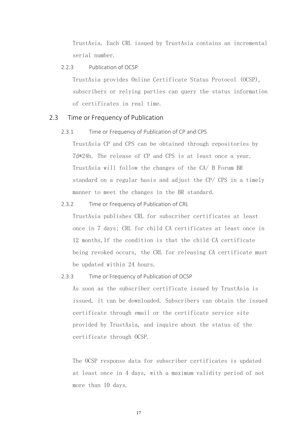TrustAsia. Each CRL issued by TrustAsia contains an incremental serial number.

#### <span id="page-24-0"></span>2.2.3 Publication of OCSP

TrustAsia provides Online Certificate Status Protocol (OCSP), subscribers or relying parties can query the status information of certificates in real time.

### <span id="page-24-2"></span><span id="page-24-1"></span>2.3 Time or Frequency of Publication

2.3.1 Time or Frequency of Publication of CP and CPS

TrustAsia CP and CPS can be obtained through repositories by 7d\*24h. The release of CP and CPS is at least once a year. TrustAsia will follow the changes of the CA/ B Forum BR standard on a regular basis and adjust the CP/ CPS in a timely manner to meet the changes in the BR standard.

#### <span id="page-24-3"></span>2.3.2 Time or Frequency of Publication of CRL

TrustAsia publishes CRL for subscriber certificates at least once in 7 days; CRL for child CA certificates at least once in 12 months,If the condition is that the child CA certificate being revoked occurs, the CRL for releasing CA certificate must be updated within 24 hours.

#### <span id="page-24-4"></span>2.3.3 Time or Frequency of Publication of OCSP

As soon as the subscriber certificate issued by TrustAsia is issued, it can be downloaded. Subscribers can obtain the issued certificate through email or the certificate service site provided by TrustAsia, and inquire about the status of the certificate through OCSP.

The OCSP response data for subscriber certificates is updated at least once in 4 days, with a maximum validity period of not more than 10 days.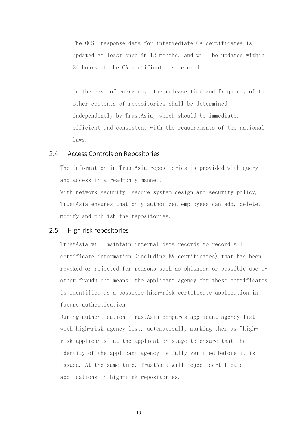The OCSP response data for intermediate CA certificates is updated at least once in 12 months, and will be updated within 24 hours if the CA certificate is revoked.

In the case of emergency, the release time and frequency of the other contents of repositories shall be determined independently by TrustAsia, which should be immediate, efficient and consistent with the requirements of the national laws.

### <span id="page-25-0"></span>2.4 Access Controls on Repositories

The information in TrustAsia repositories is provided with query and access in a read-only manner.

With network security, secure system design and security policy, TrustAsia ensures that only authorized employees can add, delete, modify and publish the repositories.

#### <span id="page-25-1"></span>2.5 High risk repositories

TrustAsia will maintain internal data records to record all certificate information (including EV certificates) that has been revoked or rejected for reasons such as phishing or possible use by other fraudulent means. the applicant agency for these certificates is identified as a possible high-risk certificate application in future authentication.

During authentication, TrustAsia compares applicant agency list with high-risk agency list, automatically marking them as "highrisk applicants" at the application stage to ensure that the identity of the applicant agency is fully verified before it is issued. At the same time, TrustAsia will reject certificate applications in high-risk repositories.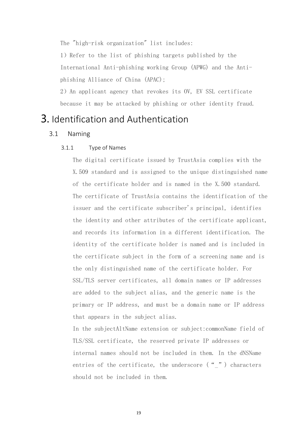The "high-risk organization" list includes:

1)Refer to the list of phishing targets published by the International Anti-phishing working Group (APWG) and the Antiphishing Alliance of China (APAC);

2)An applicant agency that revokes its OV, EV SSL certificate because it may be attacked by phishing or other identity fraud.

# <span id="page-26-1"></span><span id="page-26-0"></span>3. Identification and Authentication

### <span id="page-26-2"></span>3.1 Naming

### 3.1.1 Type of Names

The digital certificate issued by TrustAsia complies with the X.509 standard and is assigned to the unique distinguished name of the certificate holder and is named in the X.500 standard. The certificate of TrustAsia contains the identification of the issuer and the certificate subscriber's principal, identifies the identity and other attributes of the certificate applicant, and records its information in a different identification. The identity of the certificate holder is named and is included in the certificate subject in the form of a screening name and is the only distinguished name of the certificate holder. For SSL/TLS server certificates, all domain names or IP addresses are added to the subject alias, and the generic name is the primary or IP address, and must be a domain name or IP address that appears in the subject alias.

In the subjectAltName extension or subject:commonName field of TLS/SSL certificate, the reserved private IP addresses or internal names should not be included in them. In the dNSName entries of the certificate, the underscore ( $\frac{u}{v}$ ) characters should not be included in them.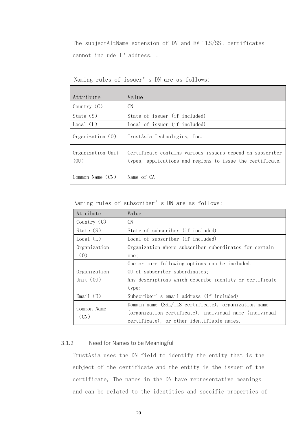The subjectAltName extension of DV and EV TLS/SSL certificates cannot include IP address. .

| Attribute                 | Value                                                                                                                  |
|---------------------------|------------------------------------------------------------------------------------------------------------------------|
| Country $(C)$             | CN                                                                                                                     |
| State $(S)$               | State of issuer (if included)                                                                                          |
| Local (L)                 | Local of issuer (if included)                                                                                          |
| $0$ rganization $(0)$     | TrustAsia Technologies, Inc.                                                                                           |
| Organization Unit<br>(0U) | Certificate contains various issuers depend on subscriber<br>types, applications and regions to issue the certificate. |
| Common Name (CN)          | Name of CA                                                                                                             |

Naming rules of issuer's DN are as follows:

Naming rules of subscriber's DN are as follows:

| Attribute           | Value                                                   |
|---------------------|---------------------------------------------------------|
| Country $(C)$       | <b>CN</b>                                               |
| State $(S)$         | State of subscriber (if included)                       |
| Local (L)           | Local of subscriber (if included)                       |
| Organization        | Organization where subscriber subordinates for certain  |
| (0)                 | one;                                                    |
|                     | One or more following options can be included:          |
| Organization        | OU of subscriber subordinates;                          |
| Unit $(0U)$         | Any descriptions which describe identity or certificate |
|                     | type;                                                   |
| Email(E)            | Subscriber's email address (if included)                |
|                     | Domain name (SSL/TLS certificate), organization name    |
| Common Name<br>(CN) | (organization certificate), individual name (individual |
|                     | certificate), or other identifiable names.              |

### <span id="page-27-0"></span>3.1.2 Need for Names to be Meaningful

TrustAsia uses the DN field to identify the entity that is the subject of the certificate and the entity is the issuer of the certificate, The names in the DN have representative meanings and can be related to the identities and specific properties of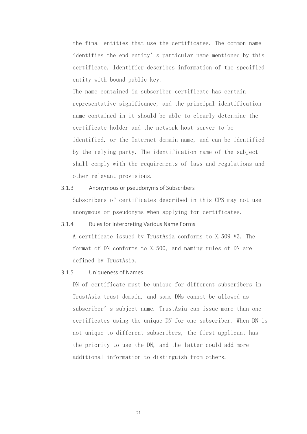the final entities that use the certificates. The common name identifies the end entity's particular name mentioned by this certificate. Identifier describes information of the specified entity with bound public key.

The name contained in subscriber certificate has certain representative significance, and the principal identification name contained in it should be able to clearly determine the certificate holder and the network host server to be identified, or the Internet domain name, and can be identified by the relying party. The identification name of the subject shall comply with the requirements of laws and regulations and other relevant provisions.

- <span id="page-28-0"></span>3.1.3 Anonymous or pseudonyms of Subscribers Subscribers of certificates described in this CPS may not use anonymous or pseudonyms when applying for certificates.
- <span id="page-28-1"></span>3.1.4 Rules for Interpreting Various Name Forms

A certificate issued by TrustAsia conforms to X.509 V3. The format of DN conforms to X.500, and naming rules of DN are defined by TrustAsia.

<span id="page-28-2"></span>3.1.5 Uniqueness of Names

DN of certificate must be unique for different subscribers in TrustAsia trust domain, and same DNs cannot be allowed as subscriber's subject name. TrustAsia can issue more than one certificates using the unique DN for one subscriber. When DN is not unique to different subscribers, the first applicant has the priority to use the DN, and the latter could add more additional information to distinguish from others.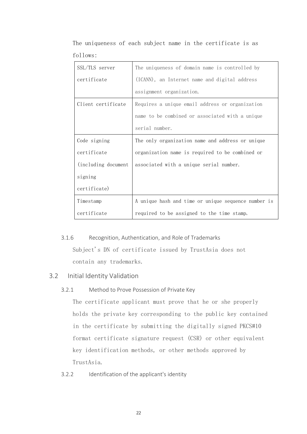The uniqueness of each subject name in the certificate is as follows:

| SSL/TLS server       | The uniqueness of domain name is controlled by      |
|----------------------|-----------------------------------------------------|
| certificate          | (ICANN), an Internet name and digital address       |
|                      | assignment organization.                            |
| Client certificate   | Requires a unique email address or organization     |
|                      | name to be combined or associated with a unique     |
|                      | serial number.                                      |
| Code signing         | The only organization name and address or unique    |
| certificate          | organization name is required to be combined or     |
| (including document) | associated with a unique serial number.             |
| signing              |                                                     |
| certificate)         |                                                     |
| Timestamp            | A unique hash and time or unique sequence number is |
| certificate          | required to be assigned to the time stamp.          |

### <span id="page-29-0"></span>3.1.6 Recognition, Authentication, and Role of Trademarks

Subject's DN of certificate issued by TrustAsia does not contain any trademarks.

### <span id="page-29-2"></span><span id="page-29-1"></span>3.2 Initial Identity Validation

### 3.2.1 Method to Prove Possession of Private Key

The certificate applicant must prove that he or she properly holds the private key corresponding to the public key contained in the certificate by submitting the digitally signed PKCS#10 format certificate signature request (CSR) or other equivalent key identification methods, or other methods approved by TrustAsia.

### <span id="page-29-3"></span>3.2.2 Identification of the applicant's identity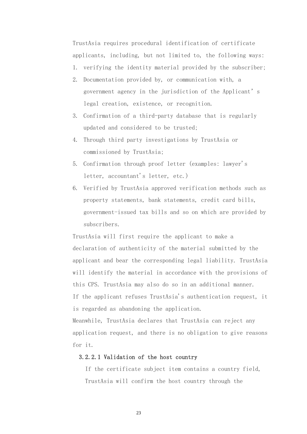TrustAsia requires procedural identification of certificate applicants, including, but not limited to, the following ways:

- 1. verifying the identity material provided by the subscriber;
- 2. Documentation provided by, or communication with, a government agency in the jurisdiction of the Applicant's legal creation, existence, or recognition.
- 3. Confirmation of a third-party database that is regularly updated and considered to be trusted;
- 4. Through third party investigations by TrustAsia or commissioned by TrustAsia;
- 5. Confirmation through proof letter (examples: lawyer's letter, accountant's letter, etc.)
- 6. Verified by TrustAsia approved verification methods such as property statements, bank statements, credit card bills, government-issued tax bills and so on which are provided by subscribers.

TrustAsia will first require the applicant to make a declaration of authenticity of the material submitted by the applicant and bear the corresponding legal liability. TrustAsia will identify the material in accordance with the provisions of this CPS. TrustAsia may also do so in an additional manner. If the applicant refuses TrustAsia's authentication request, it is regarded as abandoning the application.

Meanwhile, TrustAsia declares that TrustAsia can reject any application request, and there is no obligation to give reasons for it.

### 3.2.2.1 Validation of the host country

If the certificate subject item contains a country field, TrustAsia will confirm the host country through the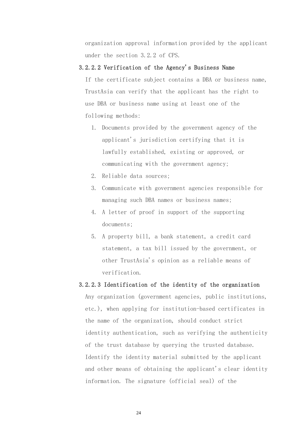organization approval information provided by the applicant under the section 3.2.2 of CPS.

### 3.2.2.2 Verification of the Agency's Business Name

If the certificate subject contains a DBA or business name, TrustAsia can verify that the applicant has the right to use DBA or business name using at least one of the following methods:

- 1. Documents provided by the government agency of the applicant's jurisdiction certifying that it is lawfully established, existing or approved, or communicating with the government agency;
- 2. Reliable data sources;
- 3. Communicate with government agencies responsible for managing such DBA names or business names;
- 4. A letter of proof in support of the supporting documents;
- 5. A property bill, a bank statement, a credit card statement, a tax bill issued by the government, or other TrustAsia's opinion as a reliable means of verification.

### 3.2.2.3 Identification of the identity of the organization

Any organization (government agencies, public institutions, etc.), when applying for institution-based certificates in the name of the organization, should conduct strict identity authentication, such as verifying the authenticity of the trust database by querying the trusted database. Identify the identity material submitted by the applicant and other means of obtaining the applicant's clear identity information. The signature (official seal) of the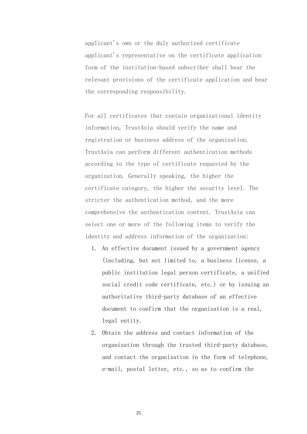applicant's own or the duly authorized certificate applicant's representative on the certificate application form of the institution-based subscriber shall bear the relevant provisions of the certificate application and bear the corresponding responsibility.

For all certificates that contain organizational identity information, TrustAsia should verify the name and registration or business address of the organization. TrustAsia can perform different authentication methods according to the type of certificate requested by the organization. Generally speaking, the higher the certificate category, the higher the security level. The stricter the authentication method, and the more comprehensive the authentication content. TrustAsia can select one or more of the following items to verify the identity and address information of the organization:

- 1. An effective document issued by a government agency (including, but not limited to, a business license, a public institution legal person certificate, a unified social credit code certificate, etc.) or by issuing an authoritative third-party database of an effective document to confirm that the organization is a real, legal entity.
- 2. Obtain the address and contact information of the organization through the trusted third-party database, and contact the organization in the form of telephone, e-mail, postal letter, etc., so as to confirm the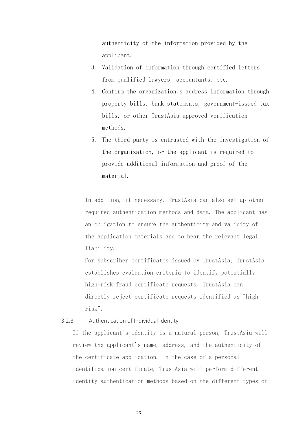authenticity of the information provided by the applicant.

- 3. Validation of information through certified letters from qualified lawyers, accountants, etc.
- 4. Confirm the organization's address information through property bills, bank statements, government-issued tax bills, or other TrustAsia approved verification methods.
- 5. The third party is entrusted with the investigation of the organization, or the applicant is required to provide additional information and proof of the material.

In addition, if necessary, TrustAsia can also set up other required authentication methods and data. The applicant has an obligation to ensure the authenticity and validity of the application materials and to bear the relevant legal liability.

For subscriber certificates issued by TrustAsia, TrustAsia establishes evaluation criteria to identify potentially high-risk fraud certificate requests. TrustAsia can directly reject certificate requests identified as "high risk".

### <span id="page-33-0"></span>3.2.3 Authentication of Individual Identity

If the applicant's identity is a natural person, TrustAsia will review the applicant's name, address, and the authenticity of the certificate application. In the case of a personal identification certificate, TrustAsia will perform different identity authentication methods based on the different types of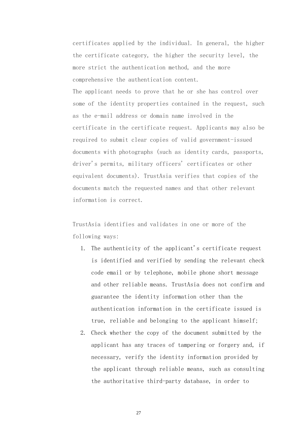certificates applied by the individual. In general, the higher the certificate category, the higher the security level, the more strict the authentication method, and the more comprehensive the authentication content. The applicant needs to prove that he or she has control over some of the identity properties contained in the request, such as the e-mail address or domain name involved in the certificate in the certificate request. Applicants may also be required to submit clear copies of valid government-issued documents with photographs (such as identity cards, passports, driver's permits, military officers' certificates or other equivalent documents). TrustAsia verifies that copies of the documents match the requested names and that other relevant information is correct.

TrustAsia identifies and validates in one or more of the following ways:

- 1. The authenticity of the applicant's certificate request is identified and verified by sending the relevant check code email or by telephone, mobile phone short message and other reliable means. TrustAsia does not confirm and guarantee the identity information other than the authentication information in the certificate issued is true, reliable and belonging to the applicant himself;
- 2. Check whether the copy of the document submitted by the applicant has any traces of tampering or forgery and, if necessary, verify the identity information provided by the applicant through reliable means, such as consulting the authoritative third-party database, in order to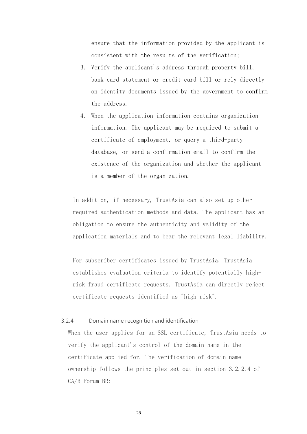ensure that the information provided by the applicant is consistent with the results of the verification;

- 3. Verify the applicant's address through property bill, bank card statement or credit card bill or rely directly on identity documents issued by the government to confirm the address.
- 4. When the application information contains organization information. The applicant may be required to submit a certificate of employment, or query a third-party database, or send a confirmation email to confirm the existence of the organization and whether the applicant is a member of the organization.

In addition, if necessary, TrustAsia can also set up other required authentication methods and data. The applicant has an obligation to ensure the authenticity and validity of the application materials and to bear the relevant legal liability.

For subscriber certificates issued by TrustAsia, TrustAsia establishes evaluation criteria to identify potentially highrisk fraud certificate requests. TrustAsia can directly reject certificate requests identified as "high risk".

### <span id="page-35-0"></span>3.2.4 Domain name recognition and identification

When the user applies for an SSL certificate, TrustAsia needs to verify the applicant's control of the domain name in the certificate applied for. The verification of domain name ownership follows the principles set out in section 3.2.2.4 of CA/B Forum BR: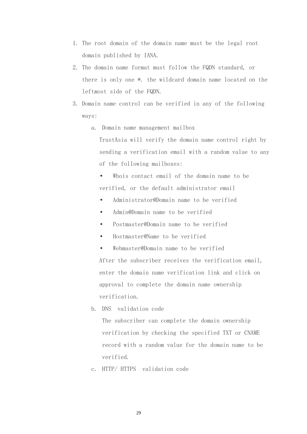- 1. The root domain of the domain name must be the legal root domain published by IANA.
- 2. The domain name format must follow the FQDN standard, or there is only one \*. the wildcard domain name located on the leftmost side of the FQDN.
- 3. Domain name control can be verified in any of the following ways:
	- a. Domain name management mailbox

TrustAsia will verify the domain name control right by sending a verification email with a random value to any of the following mailboxes:

- Whois contact email of the domain name to be verified, or the default administrator email
- Administrator@Domain name to be verified
- Admin@Domain name to be verified
- Postmaster@Domain name to be verified
- Hostmaster@Name to be verified
- Webmaster@Domain name to be verified After the subscriber receives the verification email, enter the domain name verification link and click on approval to complete the domain name ownership verification.
- b. DNS validation code

The subscriber can complete the domain ownership verification by checking the specified TXT or CNAME record with a random value for the domain name to be verified.

c. HTTP/ HTTPS validation code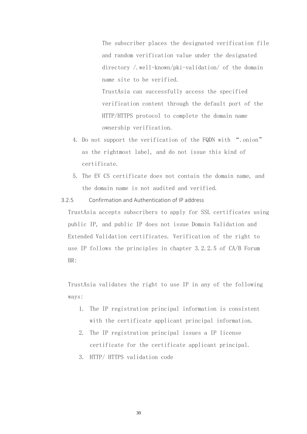The subscriber places the designated verification file and random verification value under the designated directory /.well-known/pki-validation/ of the domain name site to be verified.

TrustAsia can successfully access the specified verification content through the default port of the HTTP/HTTPS protocol to complete the domain name ownership verification.

- 4. Do not support the verification of the FQDN with ".onion" as the rightmost label, and do not issue this kind of certificate.
- 5. The EV CS certificate does not contain the domain name, and the domain name is not audited and verified.

3.2.5 Confirmation and Authentication of IP address

TrustAsia accepts subscribers to apply for SSL certificates using public IP, and public IP does not issue Domain Validation and Extended Validation certificates. Verification of the right to use IP follows the principles in chapter 3.2.2.5 of CA/B Forum BR:

TrustAsia validates the right to use IP in any of the following ways:

- 1. The IP registration principal information is consistent with the certificate applicant principal information.
- 2. The IP registration principal issues a IP license certificate for the certificate applicant principal.
- 3. HTTP/ HTTPS validation code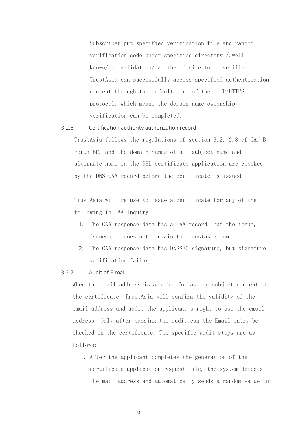Subscriber put specified verification file and random verification code under specified directory /.wellknown/pki-validation/ at the IP site to be verified. TrustAsia can successfully access specified authentication content through the default port of the HTTP/HTTPS protocol, which means the domain name ownership verification can be completed.

#### 3.2.6 Certification authority authorization record

TrustAsia follows the regulations of section 3.2. 2.8 of CA/ B Forum BR, and the domain names of all subject name and alternate name in the SSL certificate application are checked by the DNS CAA record before the certificate is issued.

TrustAsia will refuse to issue a certificate for any of the following in CAA Inquiry:

- 1. The CAA response data has a CAA record, but the issue, issuechild does not contain the trustasia.com
- 2. The CAA response data has DNSSEC signature, but signature verification failure.

#### 3.2.7 Audit of E-mail

When the email address is applied for as the subject content of the certificate, TrustAsia will confirm the validity of the email address and audit the applicant's right to use the email address. Only after passing the audit can the Email entry be checked in the certificate. The specific audit steps are as follows:

1.After the applicant completes the generation of the certificate application request file, the system detects the mail address and automatically sends a random value to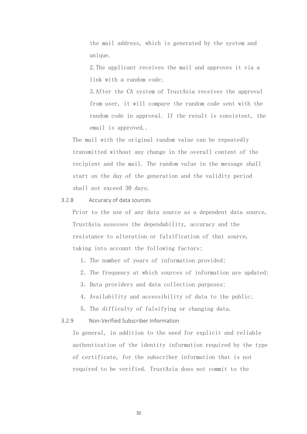the mail address, which is generated by the system and unique.

2.The applicant receives the mail and approves it via a link with a random code;

3.After the CA system of TrustAsia receives the approval from user, it will compare the random code sent with the random code in approval. If the result is consistent, the email is approved..

The mail with the original random value can be repeatedly transmitted without any change in the overall content of the recipient and the mail. The random value in the message shall start on the day of the generation and the validity period shall not exceed 30 days.

#### 3.2.8 Accuracy of data sources

Prior to the use of any data source as a dependent data source, TrustAsia assesses the dependability, accuracy and the resistance to alteration or falsification of that source, taking into account the following factors:

- 1.The number of years of information provided;
- 2.The frequency at which sources of information are updated;
- 3.Data providers and data collection purposes;
- 4.Availability and accessibility of data to the public;
- 5.The difficulty of falsifying or changing data.

#### 3.2.9 Non-Verified Subscriber Information

In general, in addition to the need for explicit and reliable authentication of the identity information required by the type of certificate, for the subscriber information that is not required to be verified. TrustAsia does not commit to the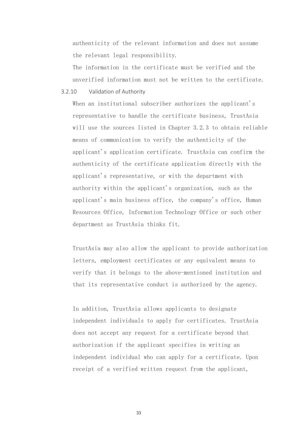authenticity of the relevant information and does not assume the relevant legal responsibility.

The information in the certificate must be verified and the unverified information must not be written to the certificate.

3.2.10 Validation of Authority

When an institutional subscriber authorizes the applicant's representative to handle the certificate business, TrustAsia will use the sources listed in Chapter 3.2.3 to obtain reliable means of communication to verify the authenticity of the applicant's application certificate. TrustAsia can confirm the authenticity of the certificate application directly with the applicant's representative, or with the department with authority within the applicant's organization, such as the applicant's main business office, the company's office, Human Resources Office, Information Technology Office or such other department as TrustAsia thinks fit.

TrustAsia may also allow the applicant to provide authorization letters, employment certificates or any equivalent means to verify that it belongs to the above-mentioned institution and that its representative conduct is authorized by the agency.

In addition, TrustAsia allows applicants to designate independent individuals to apply for certificates. TrustAsia does not accept any request for a certificate beyond that authorization if the applicant specifies in writing an independent individual who can apply for a certificate. Upon receipt of a verified written request from the applicant,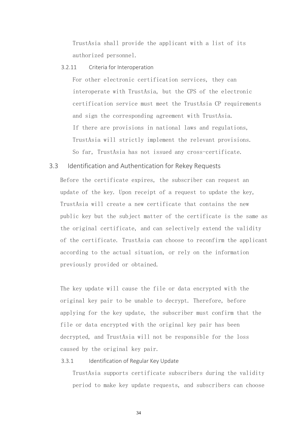TrustAsia shall provide the applicant with a list of its authorized personnel.

#### 3.2.11 Criteria for Interoperation

For other electronic certification services, they can interoperate with TrustAsia, but the CPS of the electronic certification service must meet the TrustAsia CP requirements and sign the corresponding agreement with TrustAsia. If there are provisions in national laws and regulations, TrustAsia will strictly implement the relevant provisions. So far, TrustAsia has not issued any cross-certificate.

## 3.3 Identification and Authentication for Rekey Requests

Before the certificate expires, the subscriber can request an update of the key. Upon receipt of a request to update the key, TrustAsia will create a new certificate that contains the new public key but the subject matter of the certificate is the same as the original certificate, and can selectively extend the validity of the certificate. TrustAsia can choose to reconfirm the applicant according to the actual situation, or rely on the information previously provided or obtained.

The key update will cause the file or data encrypted with the original key pair to be unable to decrypt. Therefore, before applying for the key update, the subscriber must confirm that the file or data encrypted with the original key pair has been decrypted, and TrustAsia will not be responsible for the loss caused by the original key pair.

#### 3.3.1 Identification of Regular Key Update

TrustAsia supports certificate subscribers during the validity period to make key update requests, and subscribers can choose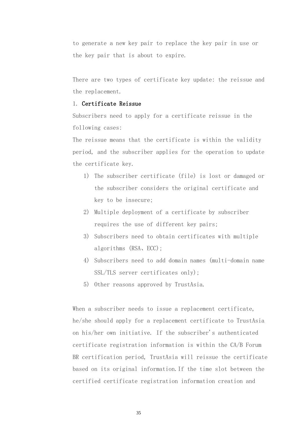to generate a new key pair to replace the key pair in use or the key pair that is about to expire.

There are two types of certificate key update: the reissue and the replacement.

#### 1. Certificate Reissue

Subscribers need to apply for a certificate reissue in the following cases:

The reissue means that the certificate is within the validity period, and the subscriber applies for the operation to update the certificate key.

- 1) The subscriber certificate (file) is lost or damaged or the subscriber considers the original certificate and key to be insecure;
- 2) Multiple deployment of a certificate by subscriber requires the use of different key pairs;
- 3) Subscribers need to obtain certificates with multiple algorithms (RSA、ECC);
- 4) Subscribers need to add domain names (multi-domain name SSL/TLS server certificates only);
- 5) Other reasons approved by TrustAsia.

When a subscriber needs to issue a replacement certificate, he/she should apply for a replacement certificate to TrustAsia on his/her own initiative. If the subscriber's authenticated certificate registration information is within the CA/B Forum BR certification period, TrustAsia will reissue the certificate based on its original information.If the time slot between the certified certificate registration information creation and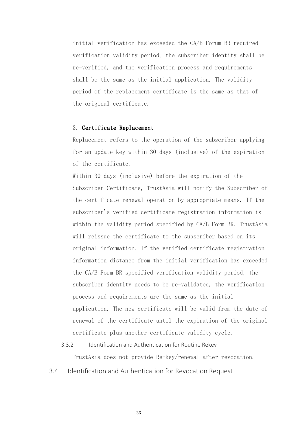initial verification has exceeded the CA/B Forum BR required verification validity period, the subscriber identity shall be re-verified, and the verification process and requirements shall be the same as the initial application. The validity period of the replacement certificate is the same as that of the original certificate.

## 2. Certificate Replacement

Replacement refers to the operation of the subscriber applying for an update key within 30 days (inclusive) of the expiration of the certificate.

Within 30 days (inclusive) before the expiration of the Subscriber Certificate, TrustAsia will notify the Subscriber of the certificate renewal operation by appropriate means. If the subscriber's verified certificate registration information is within the validity period specified by CA/B Form BR. TrustAsia will reissue the certificate to the subscriber based on its original information. If the verified certificate registration information distance from the initial verification has exceeded the CA/B Form BR specified verification validity period, the subscriber identity needs to be re-validated, the verification process and requirements are the same as the initial application. The new certificate will be valid from the date of renewal of the certificate until the expiration of the original certificate plus another certificate validity cycle.

## 3.3.2 Identification and Authentication for Routine Rekey TrustAsia does not provide Re-key/renewal after revocation.

3.4 Identification and Authentication for Revocation Request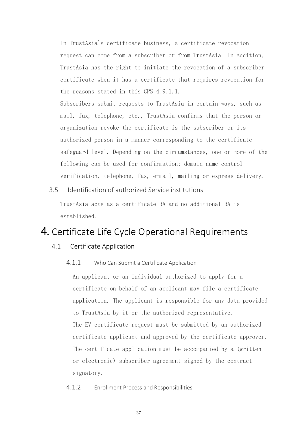In TrustAsia's certificate business, a certificate revocation request can come from a subscriber or from TrustAsia. In addition, TrustAsia has the right to initiate the revocation of a subscriber certificate when it has a certificate that requires revocation for the reasons stated in this CPS 4.9.1.1.

Subscribers submit requests to TrustAsia in certain ways, such as mail, fax, telephone, etc., TrustAsia confirms that the person or organization revoke the certificate is the subscriber or its authorized person in a manner corresponding to the certificate safeguard level. Depending on the circumstances, one or more of the following can be used for confirmation: domain name control verification, telephone, fax, e-mail, mailing or express delivery.

## 3.5 Identification of authorized Service institutions

TrustAsia acts as a certificate RA and no additional RA is established.

# 4. Certificate Life Cycle Operational Requirements

## 4.1 Certificate Application

4.1.1 Who Can Submit a Certificate Application

An applicant or an individual authorized to apply for a certificate on behalf of an applicant may file a certificate application. The applicant is responsible for any data provided to TrustAsia by it or the authorized representative. The EV certificate request must be submitted by an authorized certificate applicant and approved by the certificate approver. The certificate application must be accompanied by a (written or electronic) subscriber agreement signed by the contract signatory.

4.1.2 Enrollment Process and Responsibilities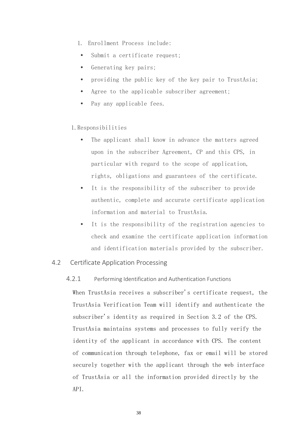- 1. Enrollment Process include:
- Submit a certificate request;
- Generating key pairs;
- providing the public key of the key pair to TrustAsia;
- Agree to the applicable subscriber agreement;
- Pay any applicable fees.

## 1.Responsibilities

- The applicant shall know in advance the matters agreed upon in the subscriber Agreement, CP and this CPS, in particular with regard to the scope of application, rights, obligations and guarantees of the certificate.
- It is the responsibility of the subscriber to provide authentic, complete and accurate certificate application information and material to TrustAsia.
- It is the responsibility of the registration agencies to check and examine the certificate application information and identification materials provided by the subscriber.

## 4.2 Certificate Application Processing

## 4.2.1 Performing Identification and Authentication Functions

When TrustAsia receives a subscriber's certificate request, the TrustAsia Verification Team will identify and authenticate the subscriber's identity as required in Section 3.2 of the CPS. TrustAsia maintains systems and processes to fully verify the identity of the applicant in accordance with CPS. The content of communication through telephone, fax or email will be stored securely together with the applicant through the web interface of TrustAsia or all the information provided directly by the API.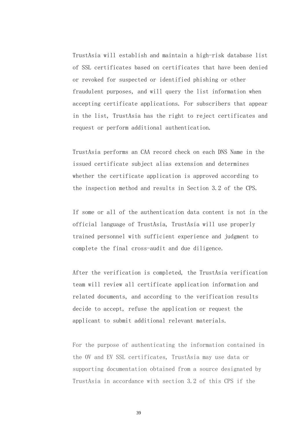TrustAsia will establish and maintain a high-risk database list of SSL certificates based on certificates that have been denied or revoked for suspected or identified phishing or other fraudulent purposes, and will query the list information when accepting certificate applications. For subscribers that appear in the list, TrustAsia has the right to reject certificates and request or perform additional authentication.

TrustAsia performs an CAA record check on each DNS Name in the issued certificate subject alias extension and determines whether the certificate application is approved according to the inspection method and results in Section 3.2 of the CPS.

If some or all of the authentication data content is not in the official language of TrustAsia, TrustAsia will use properly trained personnel with sufficient experience and judgment to complete the final cross-audit and due diligence.

After the verification is completed, the TrustAsia verification team will review all certificate application information and related documents, and according to the verification results decide to accept, refuse the application or request the applicant to submit additional relevant materials.

For the purpose of authenticating the information contained in the OV and EV SSL certificates, TrustAsia may use data or supporting documentation obtained from a source designated by TrustAsia in accordance with section 3.2 of this CPS if the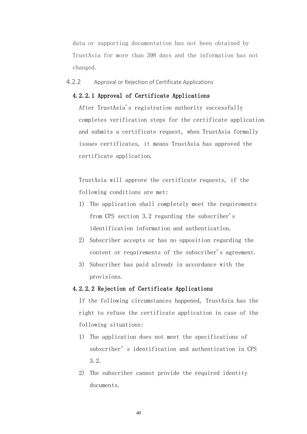data or supporting documentation has not been obtained by TrustAsia for more than 398 days and the information has not changed.

4.2.2 Approval or Rejection of Certificate Applications

#### 4.2.2.1 Approval of Certificate Applications

After TrustAsia's registration authority successfully completes verification steps for the certificate application and submits a certificate request, when TrustAsia formally issues certificates, it means TrustAsia has approved the certificate application.

TrustAsia will approve the certificate requests, if the following conditions are met:

- 1) The application shall completely meet the requirements from CPS section 3.2 regarding the subscriber's identification information and authentication.
- 2) Subscriber accepts or has no opposition regarding the content or requirements of the subscriber's agreement.
- 3) Subscriber has paid already in accordance with the provisions.

#### 4.2.2.2 Rejection of Certificate Applications

If the following circumstances happened, TrustAsia has the right to refuse the certificate application in case of the following situations:

- 1) The application does not meet the specifications of subscriber's identification and authentication in CPS 3.2.
- 2) The subscriber cannot provide the required identity documents.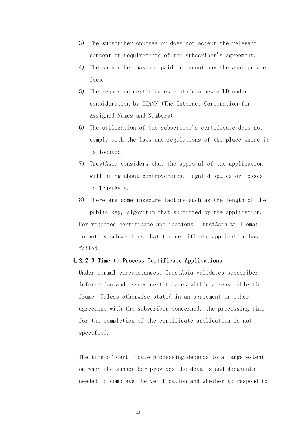- 3) The subscriber opposes or does not accept the relevant content or requirements of the subscriber's agreement.
- 4) The subscriber has not paid or cannot pay the appropriate fees.
- 5) The requested certificates contain a new gTLD under consideration by ICANN (The Internet Corporation for Assigned Names and Numbers).
- 6) The utilization of the subscriber's certificate does not comply with the laws and regulations of the place where it is located;
- 7) TrustAsia considers that the approval of the application will bring about controversies, legal disputes or losses to TrustAsia.
- 8) There are some insecure factors such as the length of the public key, algorithm that submitted by the application. For rejected certificate applications, TrustAsia will email to notify subscribers that the certificate application has failed.

#### 4.2.2.3 Time to Process Certificate Applications

Under normal circumstances, TrustAsia validates subscriber information and issues certificates within a reasonable time frame. Unless otherwise stated in an agreement or other agreement with the subscriber concerned, the processing time for the completion of the certificate application is not specified.

The time of certificate processing depends to a large extent on when the subscriber provides the details and documents needed to complete the verification and whether to respond to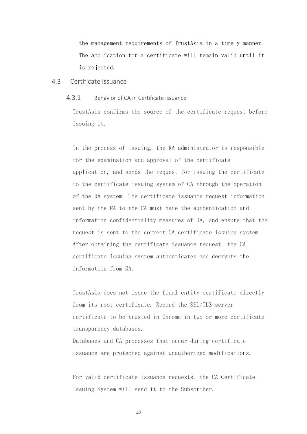the management requirements of TrustAsia in a timely manner. The application for a certificate will remain valid until it is rejected.

#### 4.3 Certificate Issuance

#### 4.3.1 Behavior of CA in Certificate issuance

TrustAsia confirms the source of the certificate request before issuing it.

In the process of issuing, the RA administrator is responsible for the examination and approval of the certificate application, and sends the request for issuing the certificate to the certificate issuing system of CA through the operation of the RA system. The certificate issuance request information sent by the RA to the CA must have the authentication and information confidentiality measures of RA, and ensure that the request is sent to the correct CA certificate issuing system. After obtaining the certificate issuance request, the CA certificate issuing system authenticates and decrypts the information from RA.

TrustAsia does not issue the final entity certificate directly from its root certificate. Record the SSL/TLS server certificate to be trusted in Chrome in two or more certificate transparency databases.

Databases and CA processes that occur during certificate issuance are protected against unauthorized modifications.

For valid certificate issuance requests, the CA Certificate Issuing System will send it to the Subscriber.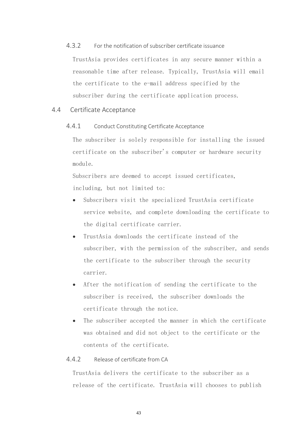## 4.3.2 For the notification of subscriber certificate issuance

TrustAsia provides certificates in any secure manner within a reasonable time after release. Typically, TrustAsia will email the certificate to the e-mail address specified by the subscriber during the certificate application process.

## 4.4 Certificate Acceptance

#### 4.4.1 Conduct Constituting Certificate Acceptance

The subscriber is solely responsible for installing the issued certificate on the subscriber's computer or hardware security module.

Subscribers are deemed to accept issued certificates, including, but not limited to:

- Subscribers visit the specialized TrustAsia certificate service website, and complete downloading the certificate to the digital certificate carrier.
- TrustAsia downloads the certificate instead of the subscriber, with the permission of the subscriber, and sends the certificate to the subscriber through the security carrier.
- After the notification of sending the certificate to the subscriber is received, the subscriber downloads the certificate through the notice.
- The subscriber accepted the manner in which the certificate was obtained and did not object to the certificate or the contents of the certificate.

## 4.4.2 Release of certificate from CA

TrustAsia delivers the certificate to the subscriber as a release of the certificate. TrustAsia will chooses to publish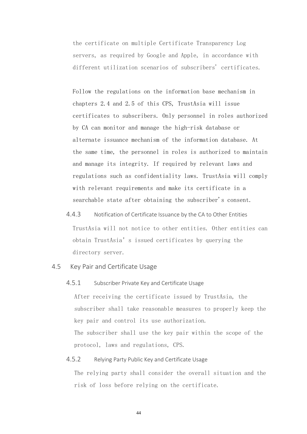the certificate on multiple Certificate Transparency Log servers, as required by Google and Apple, in accordance with different utilization scenarios of subscribers' certificates.

Follow the regulations on the information base mechanism in chapters 2.4 and 2.5 of this CPS, TrustAsia will issue certificates to subscribers. Only personnel in roles authorized by CA can monitor and manage the high-risk database or alternate issuance mechanism of the information database. At the same time, the personnel in roles is authorized to maintain and manage its integrity. If required by relevant laws and regulations such as confidentiality laws. TrustAsia will comply with relevant requirements and make its certificate in a searchable state after obtaining the subscriber's consent.

4.4.3 Notification of Certificate Issuance by the CA to Other Entities TrustAsia will not notice to other entities. Other entities can obtain TrustAsia's issued certificates by querying the directory server.

## 4.5 Key Pair and Certificate Usage

4.5.1 Subscriber Private Key and Certificate Usage

After receiving the certificate issued by TrustAsia, the subscriber shall take reasonable measures to properly keep the key pair and control its use authorization. The subscriber shall use the key pair within the scope of the protocol, laws and regulations, CPS.

## 4.5.2 Relying Party Public Key and Certificate Usage

The relying party shall consider the overall situation and the risk of loss before relying on the certificate.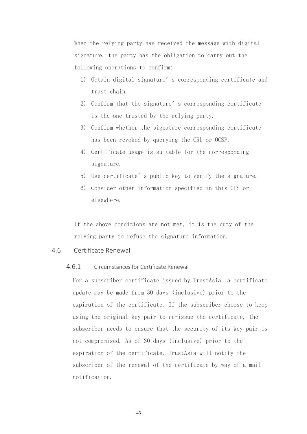When the relying party has received the message with digital signature, the party has the obligation to carry out the following operations to confirm:

- 1) Obtain digital signature's corresponding certificate and trust chain.
- 2) Confirm that the signature's corresponding certificate is the one trusted by the relying party.
- 3) Confirm whether the signature corresponding certificate has been revoked by querying the CRL or OCSP.
- 4) Certificate usage is suitable for the corresponding signature.
- 5) Use certificate's public key to verify the signature.
- 6) Consider other information specified in this CPS or elsewhere.

If the above conditions are not met, it is the duty of the relying party to refuse the signature information.

#### 4.6 Certificate Renewal

## 4.6.1 Circumstances for Certificate Renewal

For a subscriber certificate issued by TrustAsia, a certificate update may be made from 30 days (inclusive) prior to the expiration of the certificate. If the subscriber choose to keep using the original key pair to re-issue the certificate, the subscriber needs to ensure that the security of its key pair is not compromised. As of 30 days (inclusive) prior to the expiration of the certificate, TrustAsia will notify the subscriber of the renewal of the certificate by way of a mail notification.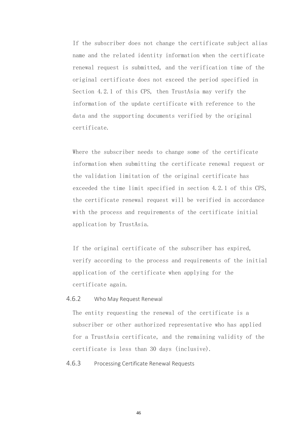If the subscriber does not change the certificate subject alias name and the related identity information when the certificate renewal request is submitted, and the verification time of the original certificate does not exceed the period specified in Section 4.2.1 of this CPS, then TrustAsia may verify the information of the update certificate with reference to the data and the supporting documents verified by the original certificate.

Where the subscriber needs to change some of the certificate information when submitting the certificate renewal request or the validation limitation of the original certificate has exceeded the time limit specified in section 4.2.1 of this CPS, the certificate renewal request will be verified in accordance with the process and requirements of the certificate initial application by TrustAsia.

If the original certificate of the subscriber has expired, verify according to the process and requirements of the initial application of the certificate when applying for the certificate again.

#### 4.6.2 Who May Request Renewal

The entity requesting the renewal of the certificate is a subscriber or other authorized representative who has applied for a TrustAsia certificate, and the remaining validity of the certificate is less than 30 days (inclusive).

## 4.6.3 Processing Certificate Renewal Requests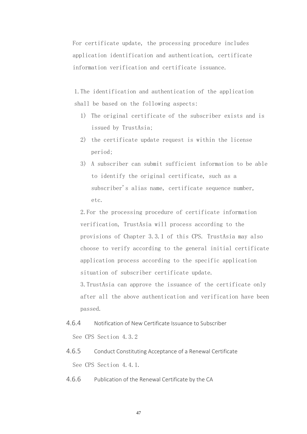For certificate update, the processing procedure includes application identification and authentication, certificate information verification and certificate issuance.

1.The identification and authentication of the application shall be based on the following aspects:

- 1) The original certificate of the subscriber exists and is issued by TrustAsia;
- 2) the certificate update request is within the license period;
- 3) A subscriber can submit sufficient information to be able to identify the original certificate, such as a subscriber's alias name, certificate sequence number, etc.

2.For the processing procedure of certificate information verification, TrustAsia will process according to the provisions of Chapter 3.3.1 of this CPS. TrustAsia may also choose to verify according to the general initial certificate application process according to the specific application situation of subscriber certificate update. 3.TrustAsia can approve the issuance of the certificate only

after all the above authentication and verification have been passed.

- 4.6.4 Notification of New Certificate Issuance to Subscriber See CPS Section 4.3.2
- 4.6.5 Conduct Constituting Acceptance of a Renewal Certificate See CPS Section 4.4.1.
- 4.6.6 Publication of the Renewal Certificate by the CA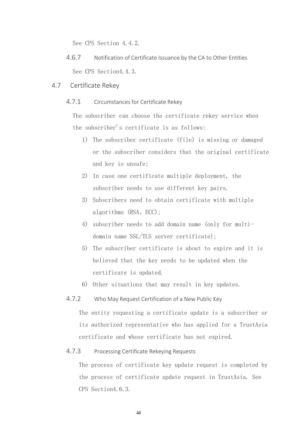See CPS Section 4.4.2.

- 4.6.7 Notification of Certificate Issuance by the CA to Other Entities See CPS Section4.4.3.
- 4.7 Certificate Rekey
	- 4.7.1 Circumstances for Certificate Rekey

The subscriber can choose the certificate rekey service when the subscriber's certificate is as follows:

- 1) The subscriber certificate (file) is missing or damaged or the subscriber considers that the original certificate and key is unsafe;
- 2) In case one certificate multiple deployment, the subscriber needs to use different key pairs.
- 3) Subscribers need to obtain certificate with multiple algorithms (RSA、ECC);
- 4) subscriber needs to add domain name (only for multidomain name SSL/TLS server certificate);
- 5) The subscriber certificate is about to expire and it is believed that the key needs to be updated when the certificate is updated.
- 6) Other situations that may result in key updates.
- 4.7.2 Who May Request Certification of a New Public Key

The entity requesting a certificate update is a subscriber or its authorized representative who has applied for a TrustAsia certificate and whose certificate has not expired.

## 4.7.3 Processing Certificate Rekeying Requests

The process of certificate key update request is completed by the process of certificate update request in TrustAsia. See CPS Section4.6.3.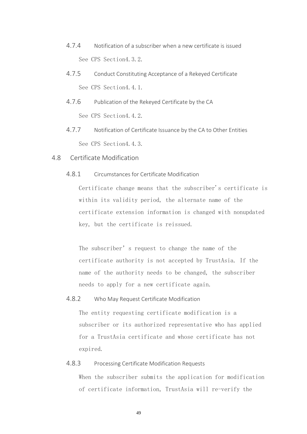- 4.7.4 Notification of a subscriber when a new certificate is issued See CPS Section4.3.2.
- 4.7.5 Conduct Constituting Acceptance of a Rekeyed Certificate See CPS Section4.4.1.
- 4.7.6 Publication of the Rekeyed Certificate by the CA See CPS Section4.4.2.
- 4.7.7 Notification of Certificate Issuance by the CA to Other Entities See CPS Section4.4.3.
- 4.8 Certificate Modification
	- 4.8.1 Circumstances for Certificate Modification

Certificate change means that the subscriber's certificate is within its validity period, the alternate name of the certificate extension information is changed with nonupdated key, but the certificate is reissued.

The subscriber's request to change the name of the certificate authority is not accepted by TrustAsia. If the name of the authority needs to be changed, the subscriber needs to apply for a new certificate again.

4.8.2 Who May Request Certificate Modification

The entity requesting certificate modification is a subscriber or its authorized representative who has applied for a TrustAsia certificate and whose certificate has not expired.

## 4.8.3 Processing Certificate Modification Requests

When the subscriber submits the application for modification of certificate information, TrustAsia will re-verify the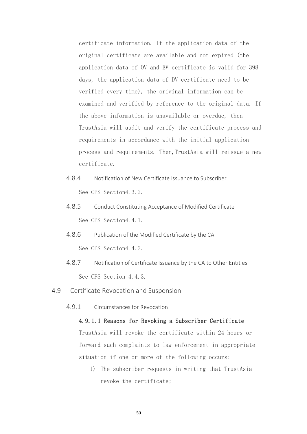certificate information. If the application data of the original certificate are available and not expired (the application data of OV and EV certificate is valid for 398 days, the application data of DV certificate need to be verified every time), the original information can be examined and verified by reference to the original data. If the above information is unavailable or overdue, then TrustAsia will audit and verify the certificate process and requirements in accordance with the initial application process and requirements. Then, TrustAsia will reissue a new certificate.

- 4.8.4 Notification of New Certificate Issuance to Subscriber See CPS Section4.3.2.
- 4.8.5 Conduct Constituting Acceptance of Modified Certificate See CPS Section4.4.1.
- 4.8.6 Publication of the Modified Certificate by the CA See CPS Section4.4.2.
- 4.8.7 Notification of Certificate Issuance by the CA to Other Entities See CPS Section 4.4.3.
- 4.9 Certificate Revocation and Suspension
	- 4.9.1 Circumstances for Revocation

## 4.9.1.1 Reasons for Revoking a Subscriber Certificate

TrustAsia will revoke the certificate within 24 hours or forward such complaints to law enforcement in appropriate situation if one or more of the following occurs:

1) The subscriber requests in writing that TrustAsia revoke the certificate;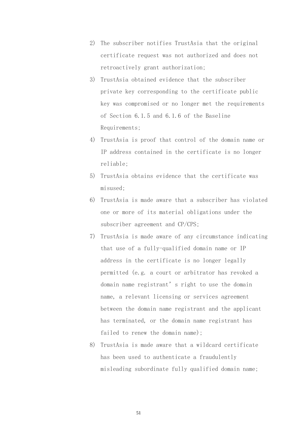- 2) The subscriber notifies TrustAsia that the original certificate request was not authorized and does not retroactively grant authorization;
- 3) TrustAsia obtained evidence that the subscriber private key corresponding to the certificate public key was compromised or no longer met the requirements of Section 6.1.5 and 6.1.6 of the Baseline Requirements;
- 4) TrustAsia is proof that control of the domain name or IP address contained in the certificate is no longer reliable;
- 5) TrustAsia obtains evidence that the certificate was misused;
- 6) TrustAsia is made aware that a subscriber has violated one or more of its material obligations under the subscriber agreement and CP/CPS;
- 7) TrustAsia is made aware of any circumstance indicating that use of a fully-qualified domain name or IP address in the certificate is no longer legally permitted (e.g. a court or arbitrator has revoked a domain name registrant's right to use the domain name, a relevant licensing or services agreement between the domain name registrant and the applicant has terminated, or the domain name registrant has failed to renew the domain name);
- 8) TrustAsia is made aware that a wildcard certificate has been used to authenticate a fraudulently misleading subordinate fully qualified domain name;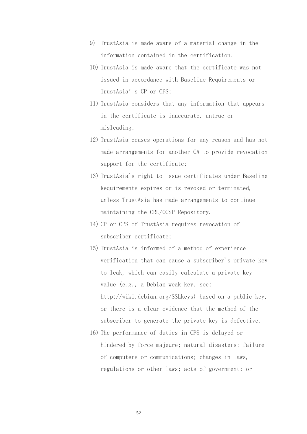- 9) TrustAsia is made aware of a material change in the information contained in the certification.
- 10) TrustAsia is made aware that the certificate was not issued in accordance with Baseline Requirements or TrustAsia's CP or CPS;
- 11) TrustAsia considers that any information that appears in the certificate is inaccurate, untrue or misleading;
- 12) TrustAsia ceases operations for any reason and has not made arrangements for another CA to provide revocation support for the certificate;
- 13) TrustAsia's right to issue certificates under Baseline Requirements expires or is revoked or terminated, unless TrustAsia has made arrangements to continue maintaining the CRL/OCSP Repository.
- 14) CP or CPS of TrustAsia requires revocation of subscriber certificate;
- 15) TrustAsia is informed of a method of experience verification that can cause a subscriber's private key to leak, which can easily calculate a private key value (e.g., a Debian weak key, see: http://wiki.debian.org/SSLkeys) based on a public key, or there is a clear evidence that the method of the subscriber to generate the private key is defective;
- 16) The performance of duties in CPS is delayed or hindered by force majeure; natural disasters; failure of computers or communications; changes in laws, regulations or other laws; acts of government; or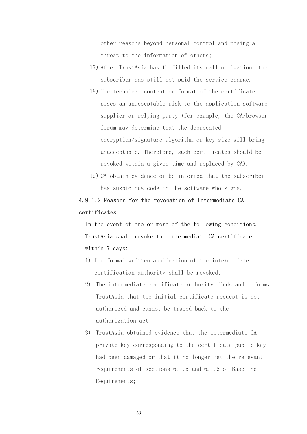other reasons beyond personal control and posing a threat to the information of others;

- 17) After TrustAsia has fulfilled its call obligation, the subscriber has still not paid the service charge.
- 18) The technical content or format of the certificate poses an unacceptable risk to the application software supplier or relying party (for example, the CA/browser forum may determine that the deprecated encryption/signature algorithm or key size will bring unacceptable. Therefore, such certificates should be revoked within a given time and replaced by CA).
- 19) CA obtain evidence or be informed that the subscriber has suspicious code in the software who signs.

## 4.9.1.2 Reasons for the revocation of Intermediate CA certificates

In the event of one or more of the following conditions, TrustAsia shall revoke the intermediate CA certificate within 7 days:

- 1) The formal written application of the intermediate certification authority shall be revoked;
- 2) The intermediate certificate authority finds and informs TrustAsia that the initial certificate request is not authorized and cannot be traced back to the authorization act;
- 3) TrustAsia obtained evidence that the intermediate CA private key corresponding to the certificate public key had been damaged or that it no longer met the relevant requirements of sections 6.1.5 and 6.1.6 of Baseline Requirements;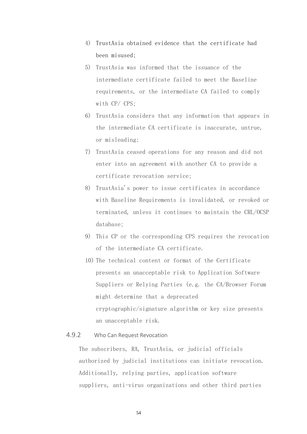- 4) TrustAsia obtained evidence that the certificate had been misused;
- 5) TrustAsia was informed that the issuance of the intermediate certificate failed to meet the Baseline requirements, or the intermediate CA failed to comply with CP/ CPS;
- 6) TrustAsia considers that any information that appears in the intermediate CA certificate is inaccurate, untrue, or misleading;
- 7) TrustAsia ceased operations for any reason and did not enter into an agreement with another CA to provide a certificate revocation service;
- 8) TrustAsia's power to issue certificates in accordance with Baseline Requirements is invalidated, or revoked or terminated, unless it continues to maintain the CRL/OCSP database;
- 9) This CP or the corresponding CPS requires the revocation of the intermediate CA certificate.
- 10) The technical content or format of the Certificate presents an unacceptable risk to Application Software Suppliers or Relying Parties (e.g. the CA/Browser Forum might determine that a deprecated cryptographic/signature algorithm or key size presents an unacceptable risk.

## 4.9.2 Who Can Request Revocation

The subscribers, RA, TrustAsia, or judicial officials authorized by judicial institutions can initiate revocation. Additionally, relying parties, application software suppliers, anti-virus organizations and other third parties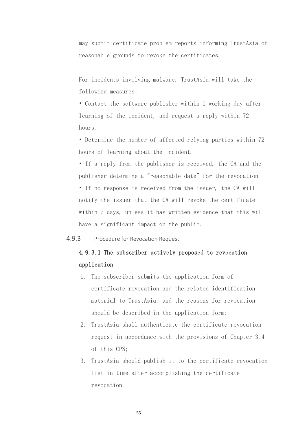may submit certificate problem reports informing TrustAsia of reasonable grounds to revoke the certificates.

For incidents involving malware, TrustAsia will take the following measures:

• Contact the software publisher within 1 working day after learning of the incident, and request a reply within 72 hours.

• Determine the number of affected relying parties within 72 hours of learning about the incident.

• If a reply from the publisher is received, the CA and the publisher determine a "reasonable date" for the revocation • If no response is received from the issuer, the CA will notify the issuer that the CA will revoke the certificate within 7 days, unless it has written evidence that this will have a significant impact on the public.

4.9.3 Procedure for Revocation Request

## 4.9.3.1 The subscriber actively proposed to revocation application

- 1. The subscriber submits the application form of certificate revocation and the related identification material to TrustAsia, and the reasons for revocation should be described in the application form;
- 2. TrustAsia shall authenticate the certificate revocation request in accordance with the provisions of Chapter 3.4 of this CPS;
- 3. TrustAsia should publish it to the certificate revocation list in time after accomplishing the certificate revocation.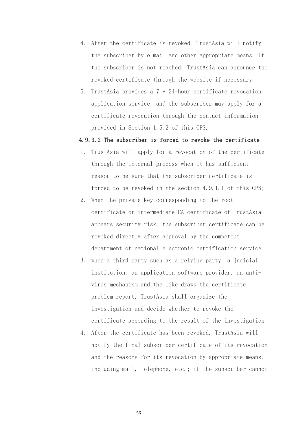- 4. After the certificate is revoked, TrustAsia will notify the subscriber by e-mail and other appropriate means. If the subscriber is not reached, TrustAsia can announce the revoked certificate through the website if necessary.
- 5. TrustAsia provides a 7 \* 24-hour certificate revocation application service, and the subscriber may apply for a certificate revocation through the contact information provided in Section 1.5.2 of this CPS.

#### 4.9.3.2 The subscriber is forced to revoke the certificate

- 1. TrustAsia will apply for a revocation of the certificate through the internal process when it has sufficient reason to be sure that the subscriber certificate is forced to be revoked in the section 4.9.1.1 of this CPS;
- 2. When the private key corresponding to the root certificate or intermediate CA certificate of TrustAsia appears security risk, the subscriber certificate can be revoked directly after approval by the competent department of national electronic certification service.
- 3. when a third party such as a relying party, a judicial institution, an application software provider, an antivirus mechanism and the like draws the certificate problem report, TrustAsia shall organize the investigation and decide whether to revoke the certificate according to the result of the investigation;
- 4. After the certificate has been revoked, TrustAsia will notify the final subscriber certificate of its revocation and the reasons for its revocation by appropriate means, including mail, telephone, etc.; if the subscriber cannot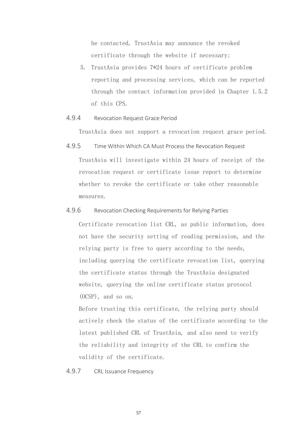be contacted, TrustAsia may announce the revoked certificate through the website if necessary;

- 5. TrustAsia provides 7\*24 hours of certificate problem reporting and processing services, which can be reported through the contact information provided in Chapter 1.5.2 of this CPS.
- 4.9.4 Revocation Request Grace Period

TrustAsia does not support a revocation request grace period.

- 4.9.5 Time Within Which CA Must Process the Revocation Request TrustAsia will investigate within 24 hours of receipt of the revocation request or certificate issue report to determine whether to revoke the certificate or take other reasonable measures.
- 4.9.6 Revocation Checking Requirements for Relying Parties

Certificate revocation list CRL, as public information, does not have the security setting of reading permission, and the relying party is free to query according to the needs, including querying the certificate revocation list, querying the certificate status through the TrustAsia designated website, querying the online certificate status protocol (OCSP), and so on.

Before trusting this certificate, the relying party should actively check the status of the certificate according to the latest published CRL of TrustAsia, and also need to verify the reliability and integrity of the CRL to confirm the validity of the certificate.

4.9.7 CRL Issuance Frequency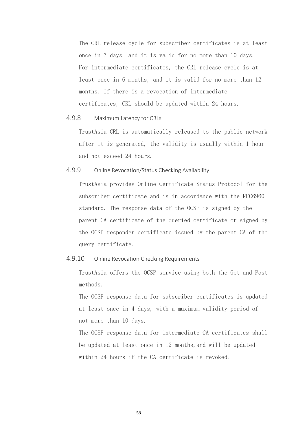The CRL release cycle for subscriber certificates is at least once in 7 days, and it is valid for no more than 10 days. For intermediate certificates, the CRL release cycle is at least once in 6 months, and it is valid for no more than 12 months. If there is a revocation of intermediate certificates, CRL should be updated within 24 hours.

#### 4.9.8 Maximum Latency for CRLs

TrustAsia CRL is automatically released to the public network after it is generated, the validity is usually within 1 hour and not exceed 24 hours.

## 4.9.9 Online Revocation/Status Checking Availability

TrustAsia provides Online Certificate Status Protocol for the subscriber certificate and is in accordance with the RFC6960 standard. The response data of the OCSP is signed by the parent CA certificate of the queried certificate or signed by the OCSP responder certificate issued by the parent CA of the query certificate.

## 4.9.10 Online Revocation Checking Requirements

TrustAsia offers the OCSP service using both the Get and Post methods.

The OCSP response data for subscriber certificates is updated at least once in 4 days, with a maximum validity period of not more than 10 days.

The OCSP response data for intermediate CA certificates shall be updated at least once in 12 months,and will be updated within 24 hours if the CA certificate is revoked.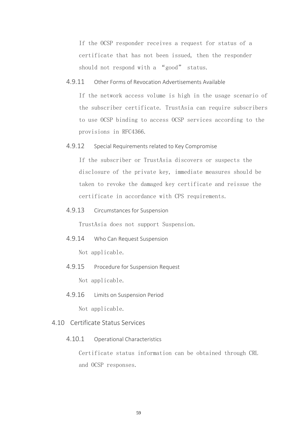If the OCSP responder receives a request for status of a certificate that has not been issued, then the responder should not respond with a "good" status.

4.9.11 Other Forms of Revocation Advertisements Available

If the network access volume is high in the usage scenario of the subscriber certificate. TrustAsia can require subscribers to use OCSP binding to access OCSP services according to the provisions in RFC4366.

4.9.12 Special Requirements related to Key Compromise

If the subscriber or TrustAsia discovers or suspects the disclosure of the private key, immediate measures should be taken to revoke the damaged key certificate and reissue the certificate in accordance with CPS requirements.

4.9.13 Circumstances for Suspension

TrustAsia does not support Suspension.

4.9.14 Who Can Request Suspension

Not applicable.

4.9.15 Procedure for Suspension Request

Not applicable.

4.9.16 Limits on Suspension Period

Not applicable.

#### 4.10 Certificate Status Services

4.10.1 Operational Characteristics

Certificate status information can be obtained through CRL and OCSP responses.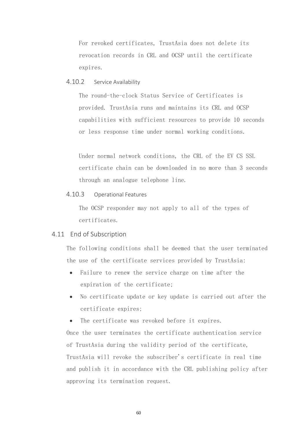For revoked certificates, TrustAsia does not delete its revocation records in CRL and OCSP until the certificate expires.

## 4.10.2 Service Availability

The round-the-clock Status Service of Certificates is provided. TrustAsia runs and maintains its CRL and OCSP capabilities with sufficient resources to provide 10 seconds or less response time under normal working conditions.

Under normal network conditions, the CRL of the EV CS SSL certificate chain can be downloaded in no more than 3 seconds through an analogue telephone line.

## 4.10.3 Operational Features

The OCSP responder may not apply to all of the types of certificates.

## 4.11 End of Subscription

The following conditions shall be deemed that the user terminated the use of the certificate services provided by TrustAsia:

- Failure to renew the service charge on time after the expiration of the certificate;
- No certificate update or key update is carried out after the certificate expires;
- The certificate was revoked before it expires.

Once the user terminates the certificate authentication service of TrustAsia during the validity period of the certificate, TrustAsia will revoke the subscriber's certificate in real time and publish it in accordance with the CRL publishing policy after approving its termination request.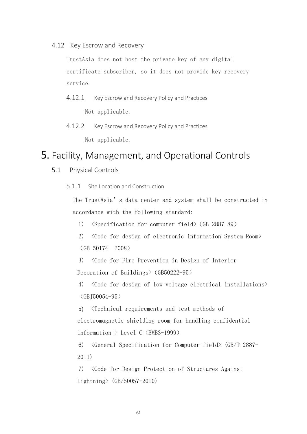4.12 Key Escrow and Recovery

TrustAsia does not host the private key of any digital certificate subscriber, so it does not provide key recovery service.

- 4.12.1 Key Escrow and Recovery Policy and Practices Not applicable.
- 4.12.2 Key Escrow and Recovery Policy and Practices Not applicable.

# 5. Facility, Management, and Operational Controls

- 5.1 Physical Controls
	- 5.1.1 Site Location and Construction

The TrustAsia's data center and system shall be constructed in accordance with the following standard:

- 1) <Specification for computer field>(GB 2887-89)
- 2) <Code for design of electronic information System Room> (GB 50174- 2008)

3) <Code for Fire Prevention in Design of Interior Decoration of Buildings> (GB50222-95)

4) <Code for design of low voltage electrical installations>  $(GB150054-95)$ 

5) <Technical requirements and test methods of

electromagnetic shielding room for handling confidential

information  $\ge$  Level C (BMB3-1999)

6) <General Specification for Computer field> (GB/T 2887- 2011)

7) <Code for Design Protection of Structures Against Lightning> (GB/50057-2010)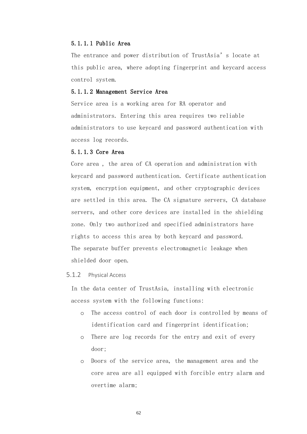#### 5.1.1.1 Public Area

The entrance and power distribution of TrustAsia's locate at this public area, where adopting fingerprint and keycard access control system.

#### 5.1.1.2 Management Service Area

Service area is a working area for RA operator and administrators. Entering this area requires two reliable administrators to use keycard and password authentication with access log records.

#### 5.1.1.3 Core Area

Core area , the area of CA operation and administration with keycard and password authentication. Certificate authentication system, encryption equipment, and other cryptographic devices are settled in this area. The CA signature servers, CA database servers, and other core devices are installed in the shielding zone. Only two authorized and specified administrators have rights to access this area by both keycard and password. The separate buffer prevents electromagnetic leakage when shielded door open.

#### 5.1.2 Physical Access

In the data center of TrustAsia, installing with electronic access system with the following functions:

- o The access control of each door is controlled by means of identification card and fingerprint identification;
- o There are log records for the entry and exit of every door;
- o Doors of the service area, the management area and the core area are all equipped with forcible entry alarm and overtime alarm;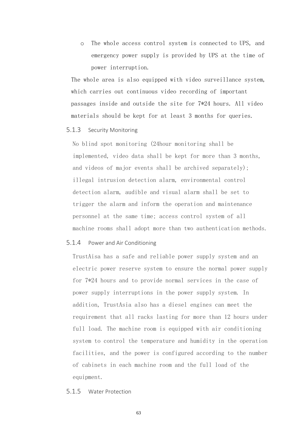o The whole access control system is connected to UPS, and emergency power supply is provided by UPS at the time of power interruption.

The whole area is also equipped with video surveillance system, which carries out continuous video recording of important passages inside and outside the site for 7\*24 hours. All video materials should be kept for at least 3 months for queries.

#### 5.1.3 Security Monitoring

No blind spot monitoring (24hour monitoring shall be implemented, video data shall be kept for more than 3 months, and videos of major events shall be archived separately); illegal intrusion detection alarm, environmental control detection alarm, audible and visual alarm shall be set to trigger the alarm and inform the operation and maintenance personnel at the same time; access control system of all machine rooms shall adopt more than two authentication methods.

#### 5.1.4 Power and Air Conditioning

TrustAisa has a safe and reliable power supply system and an electric power reserve system to ensure the normal power supply for 7\*24 hours and to provide normal services in the case of power supply interruptions in the power supply system. In addition, TrustAsia also has a diesel engines can meet the requirement that all racks lasting for more than 12 hours under full load. The machine room is equipped with air conditioning system to control the temperature and humidity in the operation facilities, and the power is configured according to the number of cabinets in each machine room and the full load of the equipment.

#### 5.1.5 Water Protection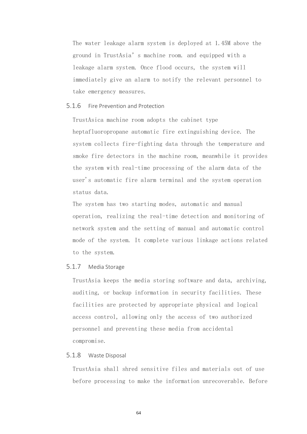The water leakage alarm system is deployed at 1.45M above the ground in TrustAsia's machine room. and equipped with a leakage alarm system. Once flood occurs, the system will immediately give an alarm to notify the relevant personnel to take emergency measures.

#### 5.1.6 Fire Prevention and Protection

TrustAsica machine room adopts the cabinet type heptafluoropropane automatic fire extinguishing device. The system collects fire-fighting data through the temperature and smoke fire detectors in the machine room, meanwhile it provides the system with real-time processing of the alarm data of the user's automatic fire alarm terminal and the system operation status data.

The system has two starting modes, automatic and manual operation, realizing the real-time detection and monitoring of network system and the setting of manual and automatic control mode of the system. It complete various linkage actions related to the system.

#### 5.1.7 Media Storage

TrustAsia keeps the media storing software and data, archiving, auditing, or backup information in security facilities. These facilities are protected by appropriate physical and logical access control, allowing only the access of two authorized personnel and preventing these media from accidental compromise.

#### 5.1.8 Waste Disposal

TrustAsia shall shred sensitive files and materials out of use before processing to make the information unrecoverable. Before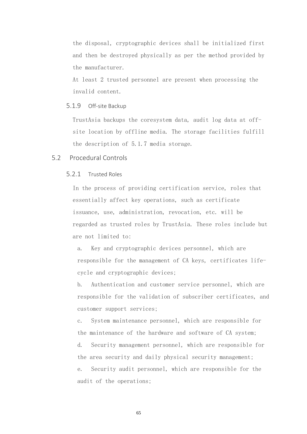the disposal, cryptographic devices shall be initialized first and then be destroyed physically as per the method provided by the manufacturer.

At least 2 trusted personnel are present when processing the invalid content.

#### 5.1.9 Off-site Backup

TrustAsia backups the coresystem data, audit log data at offsite location by offline media. The storage facilities fulfill the description of 5.1.7 media storage.

## 5.2 Procedural Controls

## 5.2.1 Trusted Roles

In the process of providing certification service, roles that essentially affect key operations, such as certificate issuance, use, administration, revocation, etc. will be regarded as trusted roles by TrustAsia. These roles include but are not limited to:

a. Key and cryptographic devices personnel, which are responsible for the management of CA keys, certificates lifecycle and cryptographic devices;

b. Authentication and customer service personnel, which are responsible for the validation of subscriber certificates, and customer support services;

c. System maintenance personnel, which are responsible for the maintenance of the hardware and software of CA system;

d. Security management personnel, which are responsible for the area security and daily physical security management; e. Security audit personnel, which are responsible for the

audit of the operations;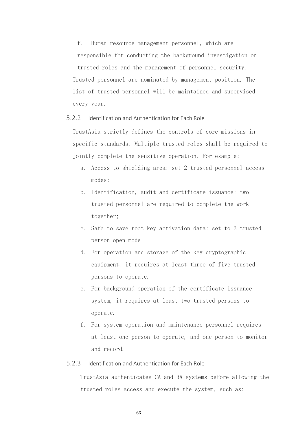f. Human resource management personnel, which are responsible for conducting the background investigation on trusted roles and the management of personnel security. Trusted personnel are nominated by management position. The list of trusted personnel will be maintained and supervised every year.

5.2.2 Identification and Authentication for Each Role

TrustAsia strictly defines the controls of core missions in specific standards. Multiple trusted roles shall be required to jointly complete the sensitive operation. For example:

- a. Access to shielding area: set 2 trusted personnel access modes;
- b. Identification, audit and certificate issuance: two trusted personnel are required to complete the work together;
- c. Safe to save root key activation data: set to 2 trusted person open mode
- d. For operation and storage of the key cryptographic equipment, it requires at least three of five trusted persons to operate.
- e. For background operation of the certificate issuance system, it requires at least two trusted persons to operate.
- f. For system operation and maintenance personnel requires at least one person to operate, and one person to monitor and record.

### 5.2.3 Identification and Authentication for Each Role

TrustAsia authenticates CA and RA systems before allowing the trusted roles access and execute the system, such as: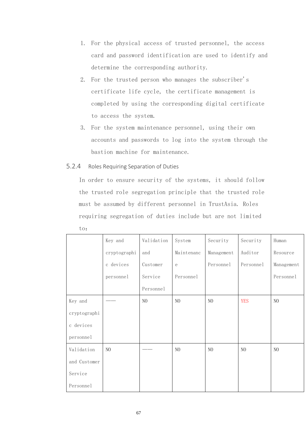- 1. For the physical access of trusted personnel, the access card and password identification are used to identify and determine the corresponding authority.
- 2. For the trusted person who manages the subscriber's certificate life cycle, the certificate management is completed by using the corresponding digital certificate to access the system.
- 3. For the system maintenance personnel, using their own accounts and passwords to log into the system through the bastion machine for maintenance.

### 5.2.4 Roles Requiring Separation of Duties

In order to ensure security of the systems, it should follow the trusted role segregation principle that the trusted role must be assumed by different personnel in TrustAsia. Roles requiring segregation of duties include but are not limited

to:

|              | Key and      | Validation | System     | Security   | Security   | Human      |
|--------------|--------------|------------|------------|------------|------------|------------|
|              | cryptographi | and        | Maintenanc | Management | Auditor    | Resource   |
|              | c devices    | Customer   | $\rm e$    | Personnel  | Personnel  | Management |
|              | personnel    | Service    | Personnel  |            |            | Personnel  |
|              |              | Personnel  |            |            |            |            |
| Key and      |              | NO         | NO         | NO         | <b>YES</b> | $\rm NO$   |
| cryptographi |              |            |            |            |            |            |
| c devices    |              |            |            |            |            |            |
| personnel    |              |            |            |            |            |            |
| Validation   | NO           |            | $\rm NO$   | $\rm NO$   | NO         | $\rm NO$   |
| and Customer |              |            |            |            |            |            |
| Service      |              |            |            |            |            |            |
| Personnel    |              |            |            |            |            |            |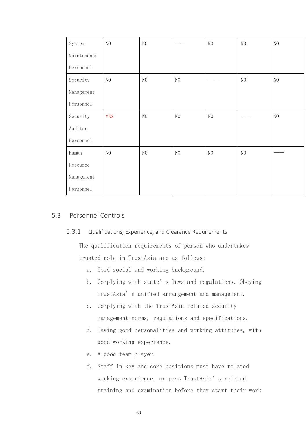| System      | $\rm NO$   | $\rm NO$   |                | $\rm NO$ | $\rm NO$ | $\rm NO$ |
|-------------|------------|------------|----------------|----------|----------|----------|
| Maintenance |            |            |                |          |          |          |
| Personnel   |            |            |                |          |          |          |
| Security    | $\rm NO$   | $\rm NO$   | $\rm NO$       |          | $\rm NO$ | $\rm NO$ |
| Management  |            |            |                |          |          |          |
| Personnel   |            |            |                |          |          |          |
| Security    | <b>YES</b> | ${\rm NO}$ | N <sub>O</sub> | NO       |          | NO       |
| Auditor     |            |            |                |          |          |          |
| Personnel   |            |            |                |          |          |          |
| Human       | $\rm NO$   | $\rm NO$   | N <sub>O</sub> | $\rm NO$ | $\rm NO$ |          |
| Resource    |            |            |                |          |          |          |
| Management  |            |            |                |          |          |          |
| Personnel   |            |            |                |          |          |          |

# 5.3 Personnel Controls

#### 5.3.1 Qualifications, Experience, and Clearance Requirements

The qualification requirements of person who undertakes trusted role in TrustAsia are as follows:

- a. Good social and working background.
- b. Complying with state's laws and regulations. Obeying TrustAsia's unified arrangement and management.
- c. Complying with the TrustAsia related security management norms, regulations and specifications.
- d. Having good personalities and working attitudes, with good working experience.
- e. A good team player.
- f. Staff in key and core positions must have related working experience, or pass TrustAsia's related training and examination before they start their work.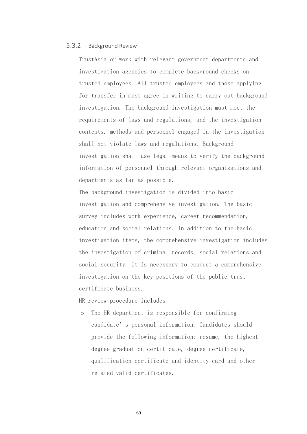#### 5.3.2 Background Review

TrustAsia or work with relevant government departments and investigation agencies to complete background checks on trusted employees. All trusted employees and those applying for transfer in must agree in writing to carry out background investigation. The background investigation must meet the requirements of laws and regulations, and the investigation contents, methods and personnel engaged in the investigation shall not violate laws and regulations. Background investigation shall use legal means to verify the background information of personnel through relevant organizations and departments as far as possible.

The background investigation is divided into basic investigation and comprehensive investigation. The basic survey includes work experience, career recommendation, education and social relations. In addition to the basic investigation items, the comprehensive investigation includes the investigation of criminal records, social relations and social security. It is necessary to conduct a comprehensive investigation on the key positions of the public trust certificate business.

HR review procedure includes:

o The HR department is responsible for confirming candidate's personal information. Candidates should provide the following information: resume, the highest degree graduation certificate, degree certificate, qualification certificate and identity card and other related valid certificates.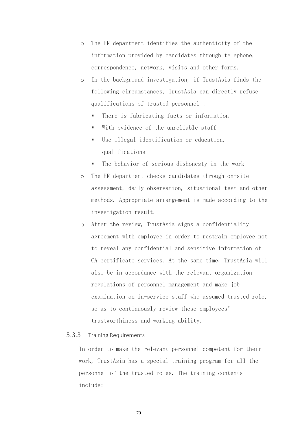- o The HR department identifies the authenticity of the information provided by candidates through telephone, correspondence, network, visits and other forms.
- o In the background investigation, if TrustAsia finds the following circumstances, TrustAsia can directly refuse qualifications of trusted personnel :
	- There is fabricating facts or information
	- With evidence of the unreliable staff
	- Use illegal identification or education, qualifications
	- The behavior of serious dishonesty in the work
- o The HR department checks candidates through on-site assessment, daily observation, situational test and other methods. Appropriate arrangement is made according to the investigation result.
- o After the review, TrustAsia signs a confidentiality agreement with employee in order to restrain employee not to reveal any confidential and sensitive information of CA certificate services. At the same time, TrustAsia will also be in accordance with the relevant organization regulations of personnel management and make job examination on in-service staff who assumed trusted role, so as to continuously review these employees' trustworthiness and working ability.

#### 5.3.3 Training Requirements

In order to make the relevant personnel competent for their work, TrustAsia has a special training program for all the personnel of the trusted roles. The training contents include: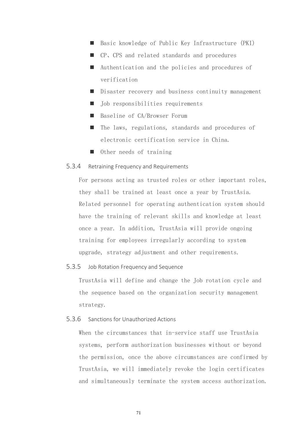- Basic knowledge of Public Key Infrastructure (PKI)
- CP, CPS and related standards and procedures
- Authentication and the policies and procedures of verification
- Disaster recovery and business continuity management
- Job responsibilities requirements
- Baseline of CA/Browser Forum
- The laws, regulations, standards and procedures of electronic certification service in China.
- Other needs of training

#### 5.3.4 Retraining Frequency and Requirements

For persons acting as trusted roles or other important roles, they shall be trained at least once a year by TrustAsia. Related personnel for operating authentication system should have the training of relevant skills and knowledge at least once a year. In addition, TrustAsia will provide ongoing training for employees irregularly according to system upgrade, strategy adjustment and other requirements.

#### 5.3.5 Job Rotation Frequency and Sequence

TrustAsia will define and change the Job rotation cycle and the sequence based on the organization security management strategy.

#### 5.3.6 Sanctions for Unauthorized Actions

When the circumstances that in-service staff use TrustAsia systems, perform authorization businesses without or beyond the permission, once the above circumstances are confirmed by TrustAsia, we will immediately revoke the login certificates and simultaneously terminate the system access authorization.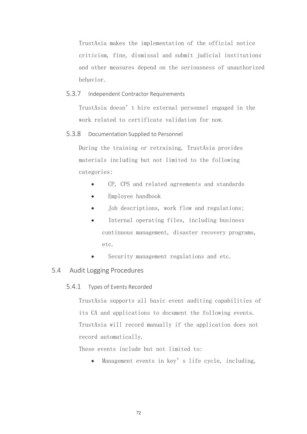TrustAsia makes the implementation of the official notice criticism, fine, dismissal and submit judicial institutions and other measures depend on the seriousness of unauthorized behavior.

5.3.7 Independent Contractor Requirements

TrustAsia doesn't hire external personnel engaged in the work related to certificate validation for now.

5.3.8 Documentation Supplied to Personnel

During the training or retraining, TrustAsia provides materials including but not limited to the following categories:

- CP, CPS and related agreements and standards
- Employee handbook
- Job descriptions, work flow and regulations;
- Internal operating files, including business continuous management, disaster recovery programs, etc.
- Security management regulations and etc.

### 5.4 Audit Logging Procedures

5.4.1 Types of Events Recorded

TrustAsia supports all basic event auditing capabilities of its CA and applications to document the following events. TrustAsia will record manually if the application does not record automatically.

These events include but not limited to:

• Management events in key's life cycle, including,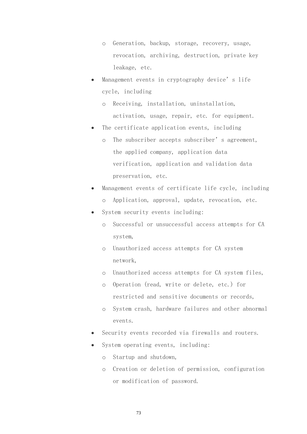- o Generation, backup, storage, recovery, usage, revocation, archiving, destruction, private key leakage, etc.
- Management events in cryptography device's life cycle, including
	- o Receiving, installation, uninstallation, activation, usage, repair, etc. for equipment.
- The certificate application events, including
	- o The subscriber accepts subscriber's agreement, the applied company, application data verification, application and validation data preservation, etc.
- Management events of certificate life cycle, including o Application, approval, update, revocation, etc.
- System security events including:
	- o Successful or unsuccessful access attempts for CA system,
	- o Unauthorized access attempts for CA system network,
	- o Unauthorized access attempts for CA system files,
	- o Operation (read, write or delete, etc.) for restricted and sensitive documents or records,
	- o System crash, hardware failures and other abnormal events.
- Security events recorded via firewalls and routers.
- System operating events, including:
	- o Startup and shutdown,
	- o Creation or deletion of permission, configuration or modification of password.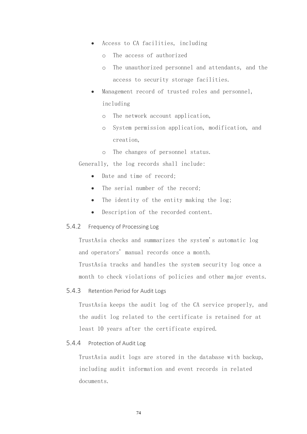- Access to CA facilities, including
	- o The access of authorized
	- o The unauthorized personnel and attendants, and the access to security storage facilities.
- Management record of trusted roles and personnel, including
	- o The network account application,
	- o System permission application, modification, and creation,
	- o The changes of personnel status.

Generally, the log records shall include:

- Date and time of record;
- The serial number of the record:
- The identity of the entity making the log;
- Description of the recorded content.

#### 5.4.2 Frequency of Processing Log

TrustAsia checks and summarizes the system's automatic log and operators' manual records once a month.

TrustAsia tracks and handles the system security log once a month to check violations of policies and other major events.

5.4.3 Retention Period for Audit Logs

TrustAsia keeps the audit log of the CA service properly, and the audit log related to the certificate is retained for at least 10 years after the certificate expired.

# 5.4.4 Protection of Audit Log

TrustAsia audit logs are stored in the database with backup, including audit information and event records in related documents.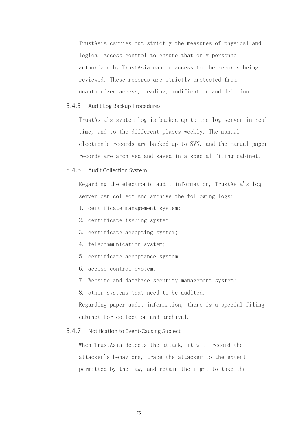TrustAsia carries out strictly the measures of physical and logical access control to ensure that only personnel authorized by TrustAsia can be access to the records being reviewed. These records are strictly protected from unauthorized access, reading, modification and deletion.

#### 5.4.5 Audit Log Backup Procedures

TrustAsia's system log is backed up to the log server in real time, and to the different places weekly. The manual electronic records are backed up to SVN, and the manual paper records are archived and saved in a special filing cabinet.

#### 5.4.6 Audit Collection System

Regarding the electronic audit information, TrustAsia's log server can collect and archive the following logs:

- 1. certificate management system;
- 2. certificate issuing system;
- 3. certificate accepting system;
- 4. telecommunication system;
- 5. certificate acceptance system
- 6. access control system;
- 7. Website and database security management system;
- 8. other systems that need to be audited.

Regarding paper audit information, there is a special filing cabinet for collection and archival.

#### 5.4.7 Notification to Event-Causing Subject

When TrustAsia detects the attack, it will record the attacker's behaviors, trace the attacker to the extent permitted by the law, and retain the right to take the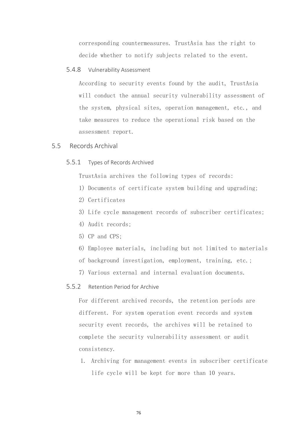corresponding countermeasures. TrustAsia has the right to decide whether to notify subjects related to the event.

#### 5.4.8 Vulnerability Assessment

According to security events found by the audit, TrustAsia will conduct the annual security vulnerability assessment of the system, physical sites, operation management, etc., and take measures to reduce the operational risk based on the assessment report.

# 5.5 Records Archival

#### 5.5.1 Types of Records Archived

TrustAsia archives the following types of records:

- 1) Documents of certificate system building and upgrading;
- 2) Certificates
- 3) Life cycle management records of subscriber certificates;
- 4) Audit records;
- 5) CP and CPS;
- 6) Employee materials, including but not limited to materials
- of background investigation, employment, training, etc.;
- 7) Various external and internal evaluation documents.

## 5.5.2 Retention Period for Archive

For different archived records, the retention periods are different. For system operation event records and system security event records, the archives will be retained to complete the security vulnerability assessment or audit consistency.

1. Archiving for management events in subscriber certificate life cycle will be kept for more than 10 years.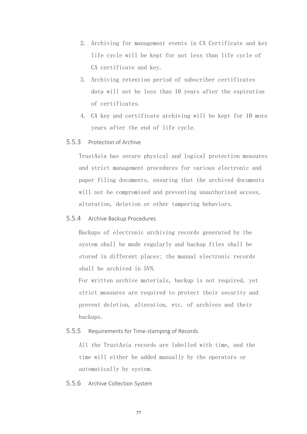- 2. Archiving for management events in CA Certificate and key life cycle will be kept for not less than life cycle of CA certificate and key.
- 3. Archiving retention period of subscriber certificates data will not be less than 10 years after the expiration of certificates.
- 4. CA key and certificate archiving will be kept for 10 more years after the end of life cycle.
- 5.5.3 Protection of Archive

TrustAsia has secure physical and logical protection measures and strict management procedures for various electronic and paper filing documents, ensuring that the archived documents will not be compromised and preventing unauthorized access, alteration, deletion or other tampering behaviors.

5.5.4 Archive Backup Procedures

Backups of electronic archiving records generated by the system shall be made regularly and backup files shall be stored in different places; the manual electronic records shall be archived in SVN.

For written archive materials, backup is not required, yet strict measures are required to protect their security and prevent deletion, alteration, etc. of archives and their backups.

## 5.5.5 Requirements for Time-stamping of Records

All the TrustAsia records are labelled with time, and the time will either be added manually by the operators or automatically by system.

5.5.6 Archive Collection System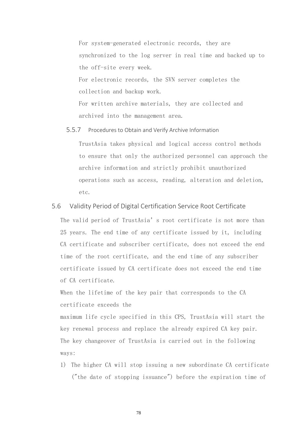For system-generated electronic records, they are synchronized to the log server in real time and backed up to the off-site every week.

For electronic records, the SVN server completes the collection and backup work.

For written archive materials, they are collected and archived into the management area.

#### 5.5.7 Procedures to Obtain and Verify Archive Information

TrustAsia takes physical and logical access control methods to ensure that only the authorized personnel can approach the archive information and strictly prohibit unauthorized operations such as access, reading, alteration and deletion, etc.

# 5.6 Validity Period of Digital Certification Service Root Certificate

The valid period of TrustAsia's root certificate is not more than 25 years. The end time of any certificate issued by it, including CA certificate and subscriber certificate, does not exceed the end time of the root certificate, and the end time of any subscriber certificate issued by CA certificate does not exceed the end time of CA certificate.

When the lifetime of the key pair that corresponds to the CA certificate exceeds the

maximum life cycle specified in this CPS, TrustAsia will start the key renewal process and replace the already expired CA key pair. The key changeover of TrustAsia is carried out in the following ways:

1) The higher CA will stop issuing a new subordinate CA certificate ("the date of stopping issuance") before the expiration time of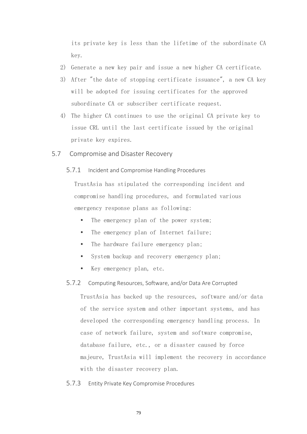its private key is less than the lifetime of the subordinate CA key.

- 2) Generate a new key pair and issue a new higher CA certificate.
- 3) After "the date of stopping certificate issuance", a new CA key will be adopted for issuing certificates for the approved subordinate CA or subscriber certificate request.
- 4) The higher CA continues to use the original CA private key to issue CRL until the last certificate issued by the original private key expires.
- 5.7 Compromise and Disaster Recovery
	- 5.7.1 Incident and Compromise Handling Procedures

TrustAsia has stipulated the corresponding incident and compromise handling procedures, and formulated various emergency response plans as following:

- The emergency plan of the power system;
- The emergency plan of Internet failure;
- The hardware failure emergency plan;
- System backup and recovery emergency plan;
- Key emergency plan, etc.

#### 5.7.2 Computing Resources, Software, and/or Data Are Corrupted

TrustAsia has backed up the resources, software and/or data of the service system and other important systems, and has developed the corresponding emergency handling process. In case of network failure, system and software compromise, database failure, etc., or a disaster caused by force majeure, TrustAsia will implement the recovery in accordance with the disaster recovery plan.

5.7.3 Entity Private Key Compromise Procedures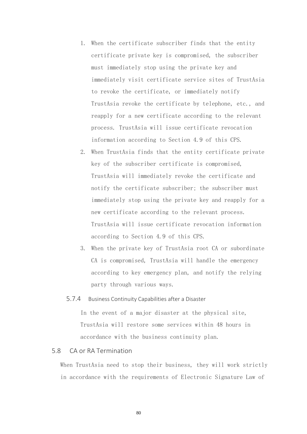- 1. When the certificate subscriber finds that the entity certificate private key is compromised, the subscriber must immediately stop using the private key and immediately visit certificate service sites of TrustAsia to revoke the certificate, or immediately notify TrustAsia revoke the certificate by telephone, etc., and reapply for a new certificate according to the relevant process. TrustAsia will issue certificate revocation information according to Section 4.9 of this CPS.
- 2. When TrustAsia finds that the entity certificate private key of the subscriber certificate is compromised, TrustAsia will immediately revoke the certificate and notify the certificate subscriber; the subscriber must immediately stop using the private key and reapply for a new certificate according to the relevant process. TrustAsia will issue certificate revocation information according to Section 4.9 of this CPS.
- 3. When the private key of TrustAsia root CA or subordinate CA is compromised, TrustAsia will handle the emergency according to key emergency plan, and notify the relying party through various ways.

#### 5.7.4 Business Continuity Capabilities after a Disaster

In the event of a major disaster at the physical site, TrustAsia will restore some services within 48 hours in accordance with the business continuity plan.

## 5.8 CA or RA Termination

When TrustAsia need to stop their business, they will work strictly in accordance with the requirements of Electronic Signature Law of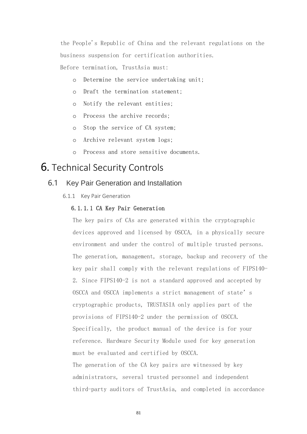the People's Republic of China and the relevant regulations on the business suspension for certification authorities. Before termination, TrustAsia must:

- o Determine the service undertaking unit;
- o Draft the termination statement;
- o Notify the relevant entities;
- o Process the archive records;
- o Stop the service of CA system;
- o Archive relevant system logs;
- o Process and store sensitive documents.

# 6. Technical Security Controls

# 6.1 Key Pair Generation and Installation

6.1.1 Key Pair Generation

#### 6.1.1.1 CA Key Pair Generation

The key pairs of CAs are generated within the cryptographic devices approved and licensed by OSCCA, in a physically secure environment and under the control of multiple trusted persons. The generation, management, storage, backup and recovery of the key pair shall comply with the relevant regulations of FIPS140- 2. Since FIPS140-2 is not a standard approved and accepted by OSCCA and OSCCA implements a strict management of state's cryptographic products, TRUSTASIA only applies part of the provisions of FIPS140-2 under the permission of OSCCA. Specifically, the product manual of the device is for your reference. Hardware Security Module used for key generation must be evaluated and certified by OSCCA. The generation of the CA key pairs are witnessed by key administrators, several trusted personnel and independent third-party auditors of TrustAsia, and completed in accordance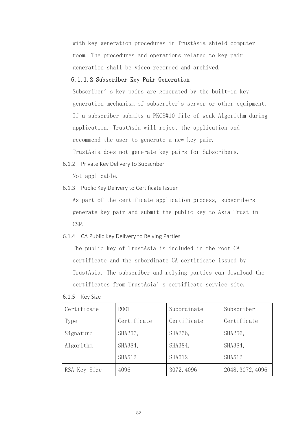with key generation procedures in TrustAsia shield computer room. The procedures and operations related to key pair generation shall be video recorded and archived.

### 6.1.1.2 Subscriber Key Pair Generation

Subscriber's key pairs are generated by the built-in key generation mechanism of subscriber's server or other equipment. If a subscriber submits a PKCS#10 file of weak Algorithm during application, TrustAsia will reject the application and recommend the user to generate a new key pair. TrustAsia does not generate key pairs for Subscribers.

6.1.2 Private Key Delivery to Subscriber Not applicable.

6.1.3 Public Key Delivery to Certificate Issuer

As part of the certificate application process, subscribers generate key pair and submit the public key to Asia Trust in CSR.

#### 6.1.4 CA Public Key Delivery to Relying Parties

The public key of TrustAsia is included in the root CA certificate and the subordinate CA certificate issued by TrustAsia. The subscriber and relying parties can download the certificates from TrustAsia's certificate service site.

| Certificate  | ROOT          | Subordinate   | Subscriber       |
|--------------|---------------|---------------|------------------|
| Type         | Certificate   | Certificate   | Certificate      |
| Signature    | SHA256,       | SHA256,       | SHA256,          |
| Algorithm    | SHA384,       | SHA384,       | SHA384,          |
|              | <b>SHA512</b> | <b>SHA512</b> | <b>SHA512</b>    |
| RSA Key Size | 4096          | 3072, 4096    | 2048, 3072, 4096 |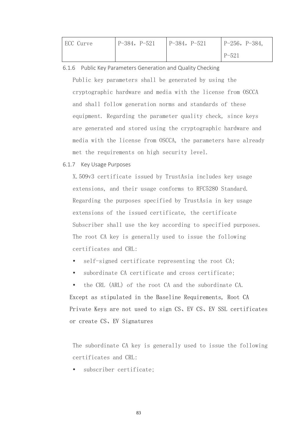| ECC Curve | $P-384, P-521$ | $P-384, P-521$ | $P-256, P-384,$ |
|-----------|----------------|----------------|-----------------|
|           |                |                | $P-521$         |

6.1.6 Public Key Parameters Generation and Quality Checking

Public key parameters shall be generated by using the cryptographic hardware and media with the license from OSCCA and shall follow generation norms and standards of these equipment. Regarding the parameter quality check, since keys are generated and stored using the cryptographic hardware and media with the license from OSCCA, the parameters have already met the requirements on high security level.

#### 6.1.7 Key Usage Purposes

X.509v3 certificate issued by TrustAsia includes key usage extensions, and their usage conforms to RFC5280 Standard. Regarding the purposes specified by TrustAsia in key usage extensions of the issued certificate, the certificate Subscriber shall use the key according to specified purposes. The root CA key is generally used to issue the following certificates and CRL:

- self-signed certificate representing the root CA;
- subordinate CA certificate and cross certificate;

 the CRL (ARL) of the root CA and the subordinate CA. Except as stipulated in the Baseline Requirements, Root CA Private Keys are not used to sign CS、EV CS、EV SSL certificates or create CS、EV Signatures

The subordinate CA key is generally used to issue the following certificates and CRL:

subscriber certificate;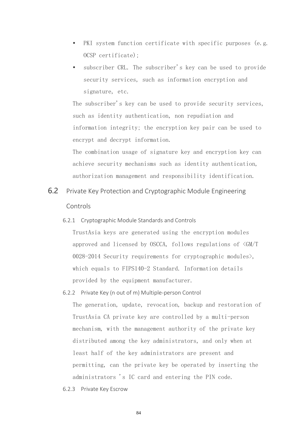- PKI system function certificate with specific purposes (e.g. OCSP certificate);
- subscriber CRL. The subscriber's key can be used to provide security services, such as information encryption and signature, etc.

The subscriber's key can be used to provide security services, such as identity authentication, non repudiation and information integrity; the encryption key pair can be used to encrypt and decrypt information.

The combination usage of signature key and encryption key can achieve security mechanisms such as identity authentication, authorization management and responsibility identification.

- 6.2 Private Key Protection and Cryptographic Module Engineering Controls
	- 6.2.1 Cryptographic Module Standards and Controls

TrustAsia keys are generated using the encryption modules approved and licensed by OSCCA, follows regulations of <GM/T 0028-2014 Security requirements for cryptographic modules>, which equals to FIPS140-2 Standard. Information details provided by the equipment manufacturer.

- 6.2.2 Private Key (n out of m) Multiple-person Control The generation, update, revocation, backup and restoration of TrustAsia CA private key are controlled by a multi-person mechanism, with the management authority of the private key distributed among the key administrators, and only when at least half of the key administrators are present and permitting, can the private key be operated by inserting the administrators 's IC card and entering the PIN code.
- 6.2.3 Private Key Escrow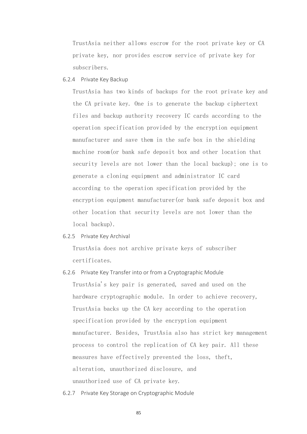TrustAsia neither allows escrow for the root private key or CA private key, nor provides escrow service of private key for subscribers.

6.2.4 Private Key Backup

TrustAsia has two kinds of backups for the root private key and the CA private key. One is to generate the backup ciphertext files and backup authority recovery IC cards according to the operation specification provided by the encryption equipment manufacturer and save them in the safe box in the shielding machine room(or bank safe deposit box and other location that security levels are not lower than the local backup); one is to generate a cloning equipment and administrator IC card according to the operation specification provided by the encryption equipment manufacturer(or bank safe deposit box and other location that security levels are not lower than the local backup).

6.2.5 Private Key Archival

TrustAsia does not archive private keys of subscriber certificates.

- 6.2.6 Private Key Transfer into or from a Cryptographic Module TrustAsia's key pair is generated, saved and used on the hardware cryptographic module. In order to achieve recovery, TrustAsia backs up the CA key according to the operation specification provided by the encryption equipment manufacturer. Besides, TrustAsia also has strict key management process to control the replication of CA key pair. All these measures have effectively prevented the loss, theft, alteration, unauthorized disclosure, and unauthorized use of CA private key.
- 6.2.7 Private Key Storage on Cryptographic Module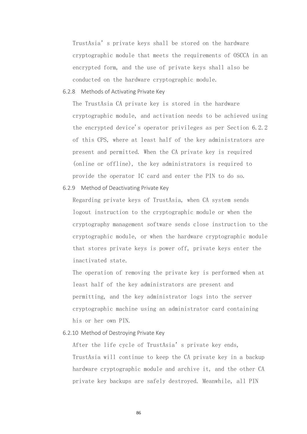TrustAsia's private keys shall be stored on the hardware cryptographic module that meets the requirements of OSCCA in an encrypted form, and the use of private keys shall also be conducted on the hardware cryptographic module.

#### 6.2.8 Methods of Activating Private Key

The TrustAsia CA private key is stored in the hardware cryptographic module, and activation needs to be achieved using the encrypted device's operator privileges as per Section 6.2.2 of this CPS, where at least half of the key administrators are present and permitted. When the CA private key is required (online or offline), the key administrators is required to provide the operator IC card and enter the PIN to do so.

6.2.9 Method of Deactivating Private Key

Regarding private keys of TrustAsia, when CA system sends logout instruction to the cryptographic module or when the cryptography management software sends close instruction to the cryptographic module, or when the hardware cryptographic module that stores private keys is power off, private keys enter the inactivated state.

The operation of removing the private key is performed when at least half of the key administrators are present and permitting, and the key administrator logs into the server cryptographic machine using an administrator card containing his or her own PIN.

#### 6.2.10 Method of Destroying Private Key

After the life cycle of TrustAsia's private key ends, TrustAsia will continue to keep the CA private key in a backup hardware cryptographic module and archive it, and the other CA private key backups are safely destroyed. Meanwhile, all PIN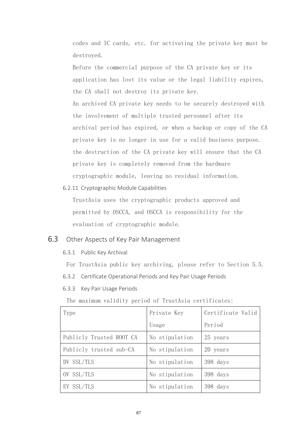codes and IC cards, etc. for activating the private key must be destroyed.

Before the commercial purpose of the CA private key or its application has lost its value or the legal liability expires, the CA shall not destroy its private key. An archived CA private key needs to be securely destroyed with the involvement of multiple trusted personnel after its archival period has expired, or when a backup or copy of the CA private key is no longer in use for a valid business purpose. the destruction of the CA private key will ensure that the CA private key is completely removed from the hardware cryptographic module, leaving no residual information.

6.2.11 Cryptographic Module Capabilities

TrustAsia uses the cryptographic products approved and permitted by OSCCA, and OSCCA is responsibility for the evaluation of cryptographic module.

# 6.3 Other Aspects of Key Pair Management

6.3.1 Public Key Archival

For TrustAsia public key archiving, please refer to Section 5.5.

- 6.3.2 Certificate Operational Periods and Key Pair Usage Periods
- 6.3.3 Key Pair Usage Periods

The maximum validity period of TrustAsia certificates:

| Type                     | Private Key    | Certificate Valid |
|--------------------------|----------------|-------------------|
|                          | Usage          | Period            |
| Publicly Trusted ROOT CA | No stipulation | 25 years          |
| Publicly trusted sub-CA  | No stipulation | 20 years          |
| DV SSL/TLS               | No stipulation | 398 days          |
| OV SSL/TLS               | No stipulation | 398 days          |
| EV SSL/TLS               | No stipulation | 398 days          |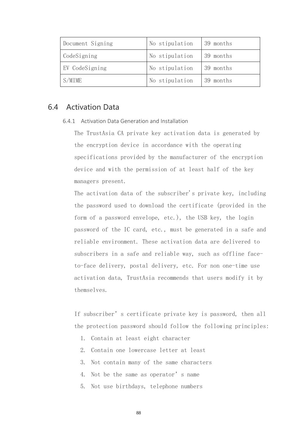| Document Signing | No stipulation | 39 months |
|------------------|----------------|-----------|
| CodeSigning      | No stipulation | 39 months |
| EV CodeSigning   | No stipulation | 39 months |
| S/MIME           | No stipulation | 39 months |

# 6.4 Activation Data

#### 6.4.1 Activation Data Generation and Installation

The TrustAsia CA private key activation data is generated by the encryption device in accordance with the operating specifications provided by the manufacturer of the encryption device and with the permission of at least half of the key managers present.

The activation data of the subscriber's private key, including the password used to download the certificate (provided in the form of a password envelope, etc.), the USB key, the login password of the IC card, etc., must be generated in a safe and reliable environment. These activation data are delivered to subscribers in a safe and reliable way, such as offline faceto-face delivery, postal delivery, etc. For non one-time use activation data, TrustAsia recommends that users modify it by themselves.

If subscriber's certificate private key is password, then all the protection password should follow the following principles:

- 1. Contain at least eight character
- 2. Contain one lowercase letter at least
- 3. Not contain many of the same characters
- 4. Not be the same as operator's name
- 5. Not use birthdays, telephone numbers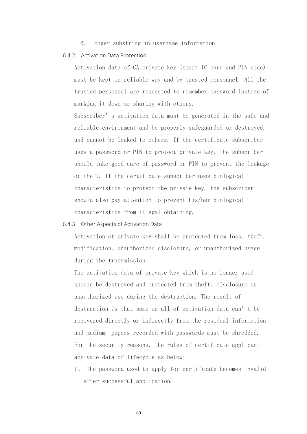6. Longer substring in username information

#### 6.4.2 Activation Data Protection

Activation data of CA private key (smart IC card and PIN code), must be kept in reliable way and by trusted personnel. All the trusted personnel are requested to remember password instead of marking it down or sharing with others.

Subscriber's activation data must be generated in the safe and reliable environment and be properly safeguarded or destroyed, and cannot be leaked to others. If the certificate subscriber uses a password or PIN to protect private key, the subscriber should take good care of password or PIN to prevent the leakage or theft. If the certificate subscriber uses biological characteristics to protect the private key, the subscriber should also pay attention to prevent his/her biological characteristics from illegal obtaining.

#### 6.4.3 Other Aspects of Activation Data

Activation of private key shall be protected from loss, theft, modification, unauthorized disclosure, or unauthorized usage during the transmission.

The activation data of private key which is no longer used should be destroyed and protected from theft, disclosure or unauthorized use during the destruction. The result of destruction is that some or all of activation data can't be recovered directly or indirectly from the residual information and medium, papers recorded with passwords must be shredded. For the security reasons, the rules of certificate applicant activate data of lifecycle as below:

1、1The password used to apply for certificate becomes invalid after successful application.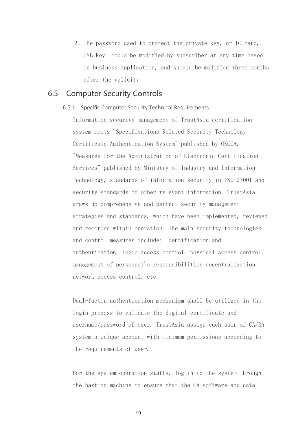2、The password used to protect the private key, or IC card, USB Key, could be modified by subscriber at any time based on business application, and should be modified three months after the validity.

# 6.5 Computer Security Controls

#### 6.5.1 Specific Computer Security Technical Requirements

Information security management of TrustAsia certification system meets "Specifications Related Security Technology Certificate Authentication System" published by OSCCA, "Measures for the Administration of Electronic Certification Services" published by Ministry of Industry and Information Technology, standards of information security in ISO 27001 and security standards of other relevant information. TrustAsia draws up comprehensive and perfect security management strategies and standards, which have been implemented, reviewed and recorded within operation. The main security technologies and control measures include: Identification and authentication, logic access control, physical access control, management of personnel's responsibilities decentralization, network access control, etc.

Dual-factor authentication mechanism shall be utilized in the login process to validate the digital certificate and username/password of user. TrustAsia assign each user of CA/RA system a unique account with minimum permissions according to the requirements of user.

For the system operation staffs, log in to the system through the bastion machine to ensure that the CA software and data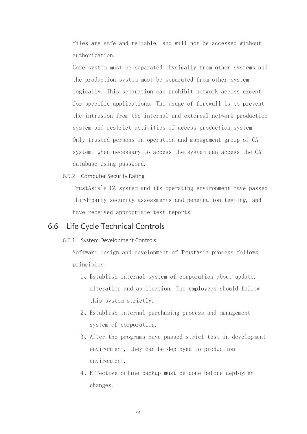files are safe and reliable, and will not be accessed without authorization.

Core system must be separated physically from other systems and the production system must be separated from other system logically. This separation can prohibit network access except for specific applications. The usage of firewall is to prevent the intrusion from the internal and external network production system and restrict activities of access production system. Only trusted persons in operation and management group of CA system, when necessary to access the system can access the CA database using password.

6.5.2 Computer Security Rating

TrustAsia's CA system and its operating environment have passed third-party security assessments and penetration testing, and have received appropriate test reports.

# 6.6 Life Cycle Technical Controls

#### 6.6.1 System Development Controls

Software design and development of TrustAsia process follows principles:

- 1、Establish internal system of corporation about update, alteration and application. The employees should follow this system strictly.
- 2、Establish internal purchasing process and management system of corporation.
- 3、After the programs have passed strict test in development environment, they can be deployed to production environment.
- 4、Effective online backup must be done before deployment changes.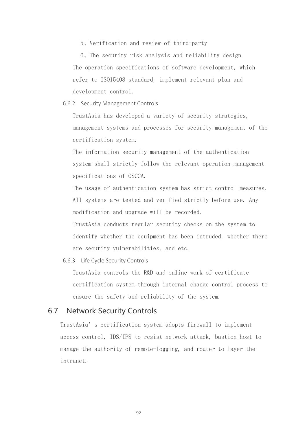5、Verification and review of third-party

6、The security risk analysis and reliability design The operation specifications of software development, which refer to ISO15408 standard, implement relevant plan and development control.

6.6.2 Security Management Controls

TrustAsia has developed a variety of security strategies, management systems and processes for security management of the certification system.

The information security management of the authentication system shall strictly follow the relevant operation management specifications of OSCCA.

The usage of authentication system has strict control measures. All systems are tested and verified strictly before use. Any modification and upgrade will be recorded.

TrustAsia conducts regular security checks on the system to identify whether the equipment has been intruded, whether there are security vulnerabilities, and etc.

6.6.3 Life Cycle Security Controls

TrustAsia controls the R&D and online work of certificate certification system through internal change control process to ensure the safety and reliability of the system.

# 6.7 Network Security Controls

TrustAsia's certification system adopts firewall to implement access control, IDS/IPS to resist network attack, bastion host to manage the authority of remote-logging, and router to layer the intranet.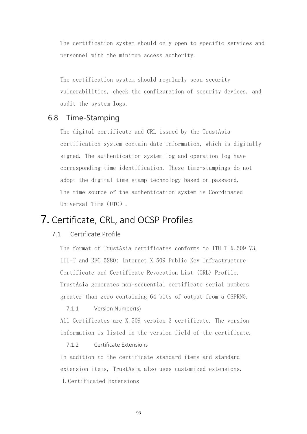The certification system should only open to specific services and personnel with the minimum access authority.

The certification system should regularly scan security vulnerabilities, check the configuration of security devices, and audit the system logs.

# 6.8 Time-Stamping

The digital certificate and CRL issued by the TrustAsia certification system contain date information, which is digitally signed. The authentication system log and operation log have corresponding time identification. These time-stampings do not adopt the digital time stamp technology based on password. The time source of the authentication system is Coordinated Universal Time (UTC).

# 7. Certificate, CRL, and OCSP Profiles

# 7.1 Certificate Profile

The format of TrustAsia certificates conforms to ITU-T X.509 V3, ITU-T and RFC 5280: Internet X.509 Public Key Infrastructure Certificate and Certificate Revocation List (CRL) Profile. TrustAsia generates non-sequential certificate serial numbers greater than zero containing 64 bits of output from a CSPRNG.

#### 7.1.1 Version Number(s)

All Certificates are X.509 version 3 certificate. The version information is listed in the version field of the certificate.

#### 7.1.2 Certificate Extensions

In addition to the certificate standard items and standard extension items, TrustAsia also uses customized extensions. 1.Certificated Extensions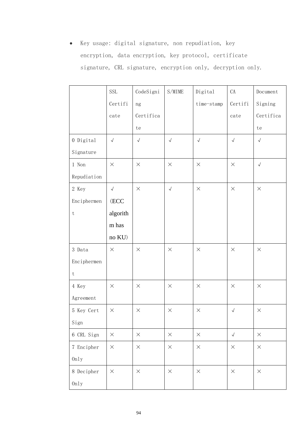• Key usage: digital signature, non repudiation, key encryption, data encryption, key protocol, certificate signature, CRL signature, encryption only, decryption only.

|                           | <b>SSL</b>                    | CodeSigni  | S/MIME     | Digital       | CA         | Document   |
|---------------------------|-------------------------------|------------|------------|---------------|------------|------------|
|                           | Certifi                       | ng         |            | $time$ -stamp | Certifi    | Signing    |
|                           | cate                          | Certifica  |            |               | cate       | Certifica  |
|                           |                               | te         |            |               |            | te         |
| $0$ Digital               | $\checkmark$                  | $\sqrt{ }$ | $\sqrt{ }$ | $\checkmark$  | $\sqrt{ }$ | $\sqrt{ }$ |
| Signature                 |                               |            |            |               |            |            |
| 1 Non                     | $\times$                      | $\times$   | $\times$   | $\times$      | $\times$   | $\sqrt{ }$ |
| Repudiation               |                               |            |            |               |            |            |
| 2 Key                     | $\sqrt{ }$                    | $\times$   | $\sqrt{ }$ | $\times$      | $\times$   | $\times$   |
| Enciphermen               | $\rm (ECC$                    |            |            |               |            |            |
| $\ensuremath{\mathbf{t}}$ | algorith                      |            |            |               |            |            |
|                           | $\ensuremath{\mathrm{m}}$ has |            |            |               |            |            |
|                           | $no~KU)$                      |            |            |               |            |            |
| 3 Data                    | $\times$                      | $\times$   | $\times$   | $\times$      | $\times$   | $\times$   |
| Enciphermen               |                               |            |            |               |            |            |
| $\ensuremath{\mathbf{t}}$ |                               |            |            |               |            |            |
| 4 Key                     | $\times$                      | $\times$   | $\times$   | $\times$      | $\times$   | $\times$   |
| Agreement                 |                               |            |            |               |            |            |
| 5 Key Cert                | $\times$                      | $\times$   | $\times$   | $\times$      | $\sqrt{ }$ | $\times$   |
| Sign                      |                               |            |            |               |            |            |
| 6 CRL Sign                | $\times$                      | $\times$   | $\times$   | $\times$      | $\sqrt{ }$ | $\times$   |
| 7 Encipher                | $\times$                      | $\times$   | $\times$   | $\times$      | $\times$   | $\times$   |
| 0nly                      |                               |            |            |               |            |            |
| 8 Decipher                | $\times$                      | $\times$   | $\times$   | $\times$      | $\times$   | $\times$   |
| 0nly                      |                               |            |            |               |            |            |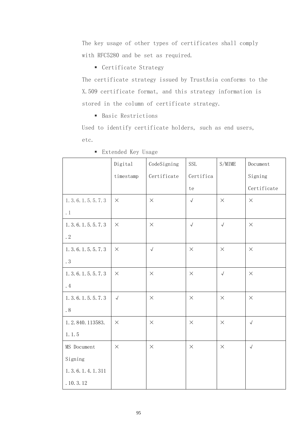The key usage of other types of certificates shall comply with RFC5280 and be set as required.

■ Certificate Strategy

The certificate strategy issued by TrustAsia conforms to the X.509 certificate format, and this strategy information is stored in the column of certificate strategy.

■ Basic Restrictions

Used to identify certificate holders, such as end users, etc.

|                          | Digital      | CodeSigning | <b>SSL</b> | S/MIME     | Document    |
|--------------------------|--------------|-------------|------------|------------|-------------|
|                          | $t$ imestamp | Certificate | Certifica  |            | Signing     |
|                          |              |             | te         |            | Certificate |
| 1. 3. 6. 1. 5. 5. 7. 3   | $\times$     | $\times$    | $\sqrt{ }$ | $\times$   | $\times$    |
| $\cdot$ 1                |              |             |            |            |             |
| 1. 3. 6. 1. 5. 5. 7. 3   | $\times$     | $\times$    | $\sqrt{ }$ | $\sqrt{ }$ | $\times$    |
| .2                       |              |             |            |            |             |
| 1. 3. 6. 1. 5. 5. 7. 3   | $\times$     | $\sqrt{ }$  | $\times$   | $\times$   | $\times$    |
| $\boldsymbol{\cdot}$ $3$ |              |             |            |            |             |
| 1. 3. 6. 1. 5. 5. 7. 3   | $\times$     | $\times$    | $\times$   | $\sqrt{ }$ | $\times$    |
| .4                       |              |             |            |            |             |
| 1. 3. 6. 1. 5. 5. 7. 3   | $\sqrt{ }$   | $\times$    | $\times$   | $\times$   | $\times$    |
| $\boldsymbol{\cdot}$ 8   |              |             |            |            |             |
| 1.2.840.113583.          | $\times$     | $\times$    | $\times$   | $\times$   | $\sqrt{ }$  |
| 1.1.5                    |              |             |            |            |             |
| MS Document              | $\times$     | $\times$    | $\times$   | $\times$   | $\sqrt{ }$  |
| Signing                  |              |             |            |            |             |
| 1. 3. 6. 1. 4. 1. 311    |              |             |            |            |             |
| .10.3.12                 |              |             |            |            |             |

■ Extended Key Usage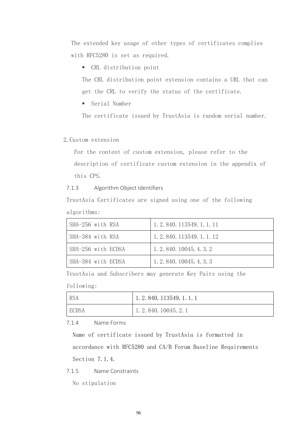The extended key usage of other types of certificates complies with RFC5280 is set as required.

▪ CRL distribution point

The CRL distribution point extension contains a URL that can get the CRL to verify the status of the certificate.

■ Serial Number

The certificate issued by TrustAsia is random serial number.

2.Custom extension

For the content of custom extension, please refer to the description of certificate custom extension in the appendix of this CPS.

7.1.3 Algorithm Object Identifiers

TrustAsia Certificates are signed using one of the following algorithms:

| SHA-256 with RSA   | 1. 2. 840. 113549. 1. 1. 11 |
|--------------------|-----------------------------|
| SHA-384 with RSA   | 1. 2. 840. 113549. 1. 1. 12 |
| SHA-256 with ECDSA | 1, 2, 840, 10045, 4, 3, 2   |
| SHA-384 with ECDSA | 1.2.840.10045.4.3.3         |

TrustAsia and Subscribers may generate Key Pairs using the

following:

| <b>RSA</b>   | 1.2.840.113549.1.1 |
|--------------|--------------------|
| <b>ECDSA</b> | 1.2.840.10045.2.1  |

7.1.4 Name Forms

Name of certificate issued by TrustAsia is formatted in accordance with RFC5280 and CA/B Forum Baseline Requirements Section 7.1.4.

7.1.5 Name Constraints

No stipulation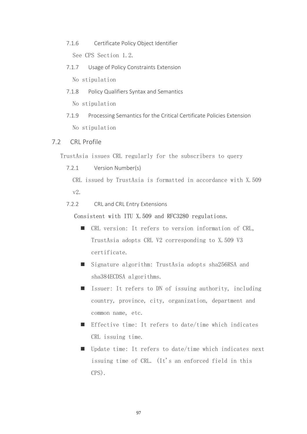- 7.1.6 Certificate Policy Object Identifier See CPS Section 1.2.
- 7.1.7 Usage of Policy Constraints Extension No stipulation
- 7.1.8 Policy Qualifiers Syntax and Semantics No stipulation
- 7.1.9 Processing Semantics for the Critical Certificate Policies Extension No stipulation

# 7.2 CRL Profile

TrustAsia issues CRL regularly for the subscribers to query

7.2.1 Version Number(s)

CRL issued by TrustAsia is formatted in accordance with X.509 v2.

7.2.2 CRL and CRL Entry Extensions

Consistent with ITU X.509 and RFC3280 regulations.

- CRL version: It refers to version information of CRL, TrustAsia adopts CRL V2 corresponding to X.509 V3 certificate.
- Signature algorithm: TrustAsia adopts sha256RSA and sha384ECDSA algorithms.
- Issuer: It refers to DN of issuing authority, including country, province, city, organization, department and common name, etc.
- Effective time: It refers to date/time which indicates CRL issuing time.
- Update time: It refers to date/time which indicates next issuing time of CRL. (It's an enforced field in this CPS).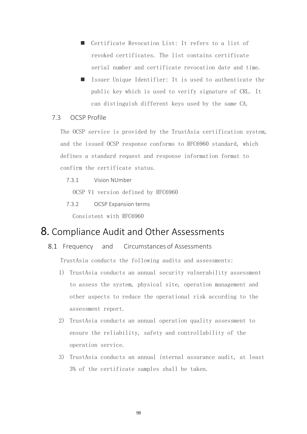- Certificate Revocation List: It refers to a list of revoked certificates. The list contains certificate serial number and certificate revocation date and time.
- Issuer Unique Identifier: It is used to authenticate the public key which is used to verify signature of CRL. It can distinguish different keys used by the same CA.

# 7.3 OCSP Profile

The OCSP service is provided by the TrustAsia certification system, and the issued OCSP response conforms to RFC6960 standard, which defines a standard request and response information format to confirm the certificate status.

7.3.1 Vision NUmber

OCSP V1 version defined by RFC6960

7.3.2 OCSP Expansion terms

Consistent with RFC6960

# 8. Compliance Audit and Other Assessments

8.1 Frequency and Circumstances of Assessments

TrustAsia conducts the following audits and assessments:

- 1) TrustAsia conducts an annual security vulnerability assessment to assess the system, physical site, operation management and other aspects to reduce the operational risk according to the assessment report.
- 2) TrustAsia conducts an annual operation quality assessment to ensure the reliability, safety and controllability of the operation service.
- 3) TrustAsia conducts an annual internal assurance audit, at least 3% of the certificate samples shall be taken.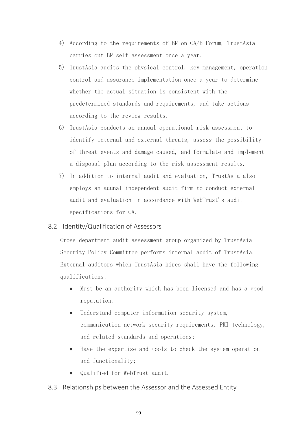- 4) According to the requirements of BR on CA/B Forum, TrustAsia carries out BR self-assessment once a year.
- 5) TrustAsia audits the physical control, key management, operation control and assurance implementation once a year to determine whether the actual situation is consistent with the predetermined standards and requirements, and take actions according to the review results.
- 6) TrustAsia conducts an annual operational risk assessment to identify internal and external threats, assess the possibility of threat events and damage caused, and formulate and implement a disposal plan according to the risk assessment results.
- 7) In addition to internal audit and evaluation, TrustAsia also employs an auunal independent audit firm to conduct external audit and evaluation in accordance with WebTrust's audit specifications for CA.

# 8.2 Identity/Qualification of Assessors

Cross department audit assessment group organized by TrustAsia Security Policy Committee performs internal audit of TrustAsia. External auditors which TrustAsia hires shall have the following qualifications:

- Must be an authority which has been licensed and has a good reputation;
- Understand computer information security system, communication network security requirements, PKI technology, and related standards and operations;
- Have the expertise and tools to check the system operation and functionality;
- Qualified for WebTrust audit.

# 8.3 Relationships between the Assessor and the Assessed Entity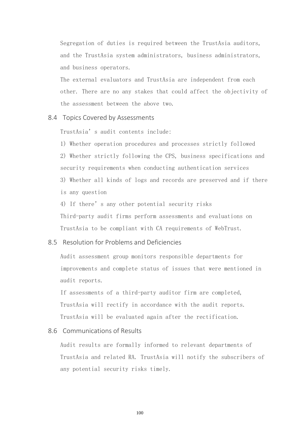Segregation of duties is required between the TrustAsia auditors, and the TrustAsia system administrators, business administrators, and business operators.

The external evaluators and TrustAsia are independent from each other. There are no any stakes that could affect the objectivity of the assessment between the above two.

#### 8.4 Topics Covered by Assessments

TrustAsia's audit contents include:

1) Whether operation procedures and processes strictly followed 2) Whether strictly following the CPS, business specifications and security requirements when conducting authentication services 3) Whether all kinds of logs and records are preserved and if there is any question

4) If there's any other potential security risks Third-party audit firms perform assessments and evaluations on TrustAsia to be compliant with CA requirements of WebTrust.

### 8.5 Resolution for Problems and Deficiencies

Audit assessment group monitors responsible departments for improvements and complete status of issues that were mentioned in audit reports.

If assessments of a third-party auditor firm are completed, TrustAsia will rectify in accordance with the audit reports. TrustAsia will be evaluated again after the rectification.

## 8.6 Communications of Results

Audit results are formally informed to relevant departments of TrustAsia and related RA. TrustAsia will notify the subscribers of any potential security risks timely.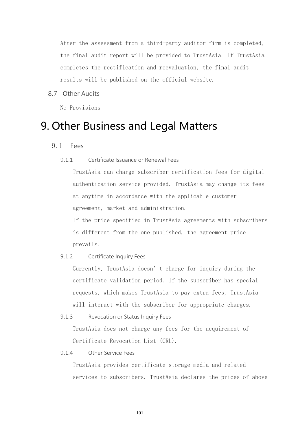After the assessment from a third-party auditor firm is completed, the final audit report will be provided to TrustAsia. If TrustAsia completes the rectification and reevaluation, the final audit results will be published on the official website.

8.7 Other Audits

No Provisions

# 9. Other Business and Legal Matters

9.1 Fees

## 9.1.1 Certificate Issuance or Renewal Fees

TrustAsia can charge subscriber certification fees for digital authentication service provided. TrustAsia may change its fees at anytime in accordance with the applicable customer agreement, market and administration.

If the price specified in TrustAsia agreements with subscribers is different from the one published, the agreement price prevails.

## 9.1.2 Certificate Inquiry Fees

Currently, TrustAsia doesn't charge for inquiry during the certificate validation period. If the subscriber has special requests, which makes TrustAsia to pay extra fees, TrustAsia will interact with the subscriber for appropriate charges.

9.1.3 Revocation or Status Inquiry Fees

TrustAsia does not charge any fees for the acquirement of Certificate Revocation List (CRL).

# 9.1.4 Other Service Fees

TrustAsia provides certificate storage media and related services to subscribers. TrustAsia declares the prices of above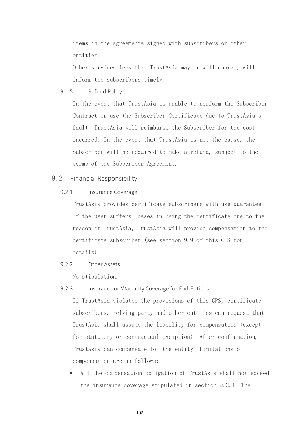items in the agreements signed with subscribers or other entities.

Other services fees that TrustAsia may or will charge, will inform the subscribers timely.

9.1.5 Refund Policy

In the event that TrustAsia is unable to perform the Subscriber Contract or use the Subscriber Certificate due to TrustAsia's fault, TrustAsia will reimburse the Subscriber for the cost incurred. In the event that TrustAsia is not the cause, the Subscriber will be required to make a refund, subject to the terms of the Subscriber Agreement.

# 9.2 Financial Responsibility

#### 9.2.1 Insurance Coverage

TrustAsia provides certificate subscribers with use guarantee. If the user suffers losses in using the certificate due to the reason of TrustAsia, TrustAsia will provide compensation to the certificate subscriber (see section 9.9 of this CPS for details)

# 9.2.2 Other Assets

No stipulation.

#### 9.2.3 Insurance or Warranty Coverage for End-Entities

If TrustAsia violates the provisions of this CPS, certificate subscribers, relying party and other entities can request that TrustAsia shall assume the liability for compensation (except for statutory or contractual exemption). After confirmation, TrustAsia can compensate for the entity. Limitations of compensation are as follows:

• All the compensation obligation of TrustAsia shall not exceed the insurance coverage stipulated in section 9.2.1. The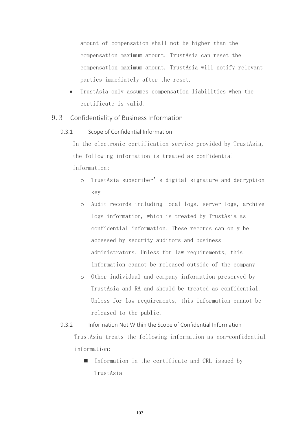amount of compensation shall not be higher than the compensation maximum amount. TrustAsia can reset the compensation maximum amount. TrustAsia will notify relevant parties immediately after the reset.

- TrustAsia only assumes compensation liabilities when the certificate is valid.
- 9.3 Confidentiality of Business Information
	- 9.3.1 Scope of Confidential Information

In the electronic certification service provided by TrustAsia, the following information is treated as confidential information:

- o TrustAsia subscriber's digital signature and decryption key
- o Audit records including local logs, server logs, archive logs information, which is treated by TrustAsia as confidential information. These records can only be accessed by security auditors and business administrators. Unless for law requirements, this information cannot be released outside of the company
- o Other individual and company information preserved by TrustAsia and RA and should be treated as confidential. Unless for law requirements, this information cannot be released to the public.
- 9.3.2 Information Not Within the Scope of Confidential Information TrustAsia treats the following information as non-confidential information:
	- Information in the certificate and CRL issued by TrustAsia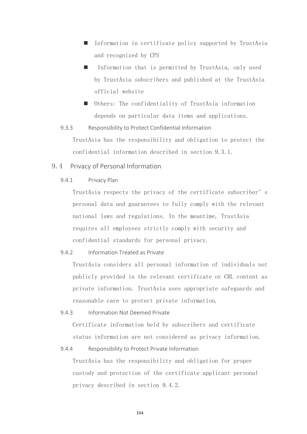- Information in certificate policy supported by TrustAsia and recognized by CPS
- Information that is permitted by TrustAsia, only used by TrustAsia subscribers and published at the TrustAsia official website
- Others: The confidentiality of TrustAsia information depends on particular data items and applications.
- 9.3.3 Responsibility to Protect Confidential Information

TrustAsia has the responsibility and obligation to protect the confidential information described in section 9.3.1.

# 9.4 Privacy of Personal Information

9.4.1 Privacy Plan

TrustAsia respects the privacy of the certificate subscriber's personal data and guarantees to fully comply with the relevant national laws and regulations. In the meantime, TrustAsia requires all employees strictly comply with security and confidential standards for personal privacy.

9.4.2 Information Treated as Private

TrustAsia considers all personal information of individuals not publicly provided in the relevant certificate or CRL content as private information. TrustAsia uses appropriate safeguards and reasonable care to protect private information.

9.4.3 Information Not Deemed Private

Certificate information held by subscribers and certificate status information are not considered as privacy information.

9.4.4 Responsibility to Protect Private Information

TrustAsia has the responsibility and obligation for proper custody and protection of the certificate applicant personal privacy described in section 9.4.2.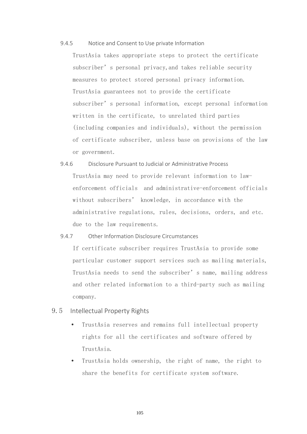#### 9.4.5 Notice and Consent to Use private Information

TrustAsia takes appropriate steps to protect the certificate subscriber's personal privacy, and takes reliable security measures to protect stored personal privacy information. TrustAsia guarantees not to provide the certificate subscriber's personal information, except personal information written in the certificate, to unrelated third parties (including companies and individuals), without the permission of certificate subscriber, unless base on provisions of the law or government.

9.4.6 Disclosure Pursuant to Judicial or Administrative Process TrustAsia may need to provide relevant information to lawenforcement officials and administrative-enforcement officials without subscribers' knowledge, in accordance with the administrative regulations, rules, decisions, orders, and etc. due to the law requirements.

# 9.4.7 Other Information Disclosure Circumstances

If certificate subscriber requires TrustAsia to provide some particular customer support services such as mailing materials, TrustAsia needs to send the subscriber's name, mailing address and other related information to a third-party such as mailing company.

# 9.5 Intellectual Property Rights

- TrustAsia reserves and remains full intellectual property rights for all the certificates and software offered by TrustAsia.
- TrustAsia holds ownership, the right of name, the right to share the benefits for certificate system software.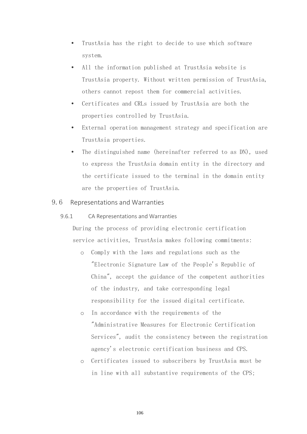- TrustAsia has the right to decide to use which software system.
- All the information published at TrustAsia website is TrustAsia property. Without written permission of TrustAsia, others cannot repost them for commercial activities.
- Certificates and CRLs issued by TrustAsia are both the properties controlled by TrustAsia.
- External operation management strategy and specification are TrustAsia properties.
- The distinguished name (hereinafter referred to as DN), used to express the TrustAsia domain entity in the directory and the certificate issued to the terminal in the domain entity are the properties of TrustAsia.

# 9.6 Representations and Warranties

9.6.1 CA Representations and Warranties

During the process of providing electronic certification service activities, TrustAsia makes following commitments:

- o Comply with the laws and regulations such as the "Electronic Signature Law of the People's Republic of China", accept the guidance of the competent authorities of the industry, and take corresponding legal responsibility for the issued digital certificate.
- o In accordance with the requirements of the "Administrative Measures for Electronic Certification Services", audit the consistency between the registration agency's electronic certification business and CPS.
- o Certificates issued to subscribers by TrustAsia must be in line with all substantive requirements of the CPS;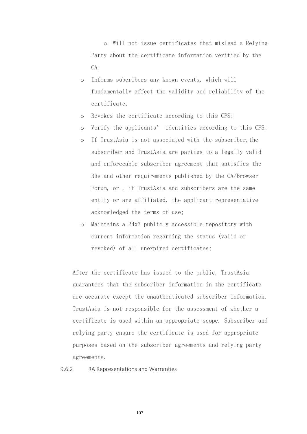o Will not issue certificates that mislead a Relying Party about the certificate information verified by the CA;

- o Informs subcribers any known events, which will fundamentally affect the validity and reliability of the certificate;
- o Revokes the certificate according to this CPS;
- o Verify the applicants' identities according to this CPS;
- o If TrustAsia is not associated with the subscriber,the subscriber and TrustAsia are parties to a legally valid and enforceable subscriber agreement that satisfies the BRs and other requirements published by the CA/Browser Forum, or , if TrustAsia and subscribers are the same entity or are affiliated, the applicant representative acknowledged the terms of use;
- o Maintains a 24x7 publicly-accessible repository with current information regarding the status (valid or revoked) of all unexpired certificates;

After the certificate has issued to the public, TrustAsia guarantees that the subscriber information in the certificate are accurate except the unauthenticated subscriber information. TrustAsia is not responsible for the assessment of whether a certificate is used within an appropriate scope. Subscriber and relying party ensure the certificate is used for appropriate purposes based on the subscriber agreements and relying party agreements.

9.6.2 RA Representations and Warranties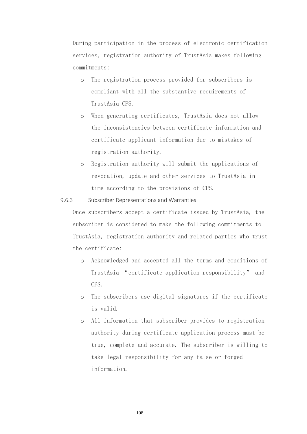During participation in the process of electronic certification services, registration authority of TrustAsia makes following commitments:

- o The registration process provided for subscribers is compliant with all the substantive requirements of TrustAsia CPS.
- o When generating certificates, TrustAsia does not allow the inconsistencies between certificate information and certificate applicant information due to mistakes of registration authority.
- o Registration authority will submit the applications of revocation, update and other services to TrustAsia in time according to the provisions of CPS.

#### 9.6.3 Subscriber Representations and Warranties

Once subscribers accept a certificate issued by TrustAsia, the subscriber is considered to make the following commitments to TrustAsia, registration authority and related parties who trust the certificate:

- o Acknowledged and accepted all the terms and conditions of TrustAsia "certificate application responsibility" and CPS.
- o The subscribers use digital signatures if the certificate is valid.
- o All information that subscriber provides to registration authority during certificate application process must be true, complete and accurate. The subscriber is willing to take legal responsibility for any false or forged information.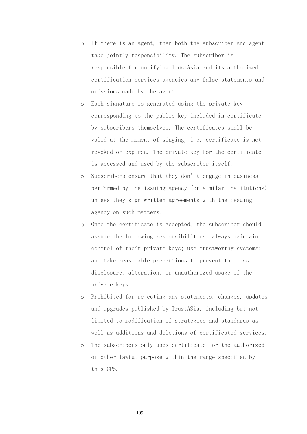- o If there is an agent, then both the subscriber and agent take jointly responsibility. The subscriber is responsible for notifying TrustAsia and its authorized certification services agencies any false statements and omissions made by the agent.
- o Each signature is generated using the private key corresponding to the public key included in certificate by subscribers themselves. The certificates shall be valid at the moment of singing, i.e. certificate is not revoked or expired. The private key for the certificate is accessed and used by the subscriber itself.
- o Subscribers ensure that they don't engage in business performed by the issuing agency (or similar institutions) unless they sign written agreements with the issuing agency on such matters.
- o Once the certificate is accepted, the subscriber should assume the following responsibilities: always maintain control of their private keys; use trustworthy systems; and take reasonable precautions to prevent the loss, disclosure, alteration, or unauthorized usage of the private keys.
- o Prohibited for rejecting any statements, changes, updates and upgrades published by TrustASia, including but not limited to modification of strategies and standards as well as additions and deletions of certificated services.
- o The subscribers only uses certificate for the authorized or other lawful purpose within the range specified by this CPS.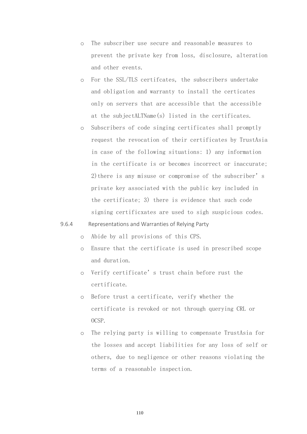- o The subscriber use secure and reasonable measures to prevent the private key from loss, disclosure, alteration and other events.
- o For the SSL/TLS certifcates, the subscribers undertake and obligation and warranty to install the certicates only on servers that are accessible that the accessible at the subjectALTName(s) listed in the certificates.
- o Subscribers of code singing certificates shall promptly request the revocation of their certificates by TrustAsia in case of the following situations: 1) any information in the certificate is or becomes incorrect or inaccurate; 2)there is any misuse or compromise of the subscriber's private key associated with the public key included in the certificate; 3) there is evidence that such code signing certificxates are used to sigh suspicious codes.

# 9.6.4 Representations and Warranties of Relying Party

o Abide by all provisions of this CPS.

- o Ensure that the certificate is used in prescribed scope and duration.
- o Verify certificate's trust chain before rust the certificate.
- o Before trust a certificate, verify whether the certificate is revoked or not through querying CRL or OCSP.
- o The relying party is willing to compensate TrustAsia for the losses and accept liabilities for any loss of self or others, due to negligence or other reasons violating the terms of a reasonable inspection.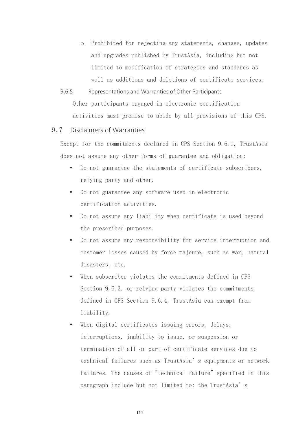- o Prohibited for rejecting any statements, changes, updates and upgrades published by TrustAsia, including but not limited to modification of strategies and standards as well as additions and deletions of certificate services.
- 9.6.5 Representations and Warranties of Other Participants Other participants engaged in electronic certification activities must promise to abide by all provisions of this CPS.

# 9.7 Disclaimers of Warranties

Except for the commitments declared in CPS Section 9.6.1, TrustAsia does not assume any other forms of guarantee and obligation:

- Do not guarantee the statements of certificate subscribers, relying party and other.
- Do not guarantee any software used in electronic certification activities.
- Do not assume any liability when certificate is used beyond the prescribed purposes.
- Do not assume any responsibility for service interruption and customer losses caused by force majeure, such as war, natural disasters, etc.
- When subscriber violates the commitments defined in CPS Section 9.6.3. or relying party violates the commitments defined in CPS Section 9.6.4, TrustAsia can exempt from liability.
- When digital certificates issuing errors, delays, interruptions, inability to issue, or suspension or termination of all or part of certificate services due to technical failures such as TrustAsia's equipments or network failures. The causes of "technical failure" specified in this paragraph include but not limited to: the TrustAsia's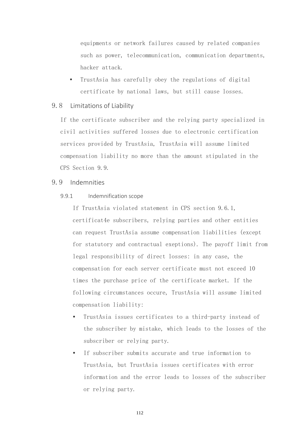equipments or network failures caused by related companies such as power, telecommunication, communication departments, hacker attack.

 TrustAsia has carefully obey the regulations of digital certificate by national laws, but still cause losses.

#### 9.8 Limitations of Liability

If the certificate subscriber and the relying party specialized in civil activities suffered losses due to electronic certification services provided by TrustAsia, TrustAsia will assume limited compensation liability no more than the amount stipulated in the CPS Section 9.9.

# 9.9 Indemnities

9.9.1 Indemnification scope

If TrustAsia violated statement in CPS section 9.6.1, certificat4e subscribers, relying parties and other entities can request TrustAsia assume compensation liabilities (except for statutory and contractual exeptions). The payoff limit from legal responsibility of direct losses: in any case, the compensation for each server certificate must not exceed 10 times the purchase price of the certificate market. If the following circumstances occure, TrustAsia will assume limited compensation liability:

- TrustAsia issues certificates to a third-party instead of the subscriber by mistake, which leads to the losses of the subscriber or relying party.
- If subscriber submits accurate and true information to TrustAsia, but TrustAsia issues certificates with error information and the error leads to losses of the subscriber or relying party.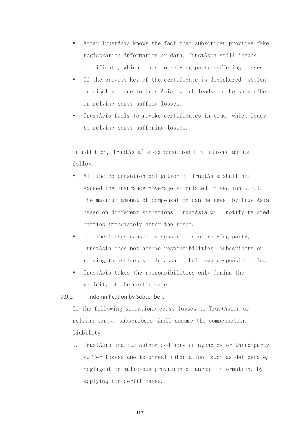- After TrustAsia knows the fact that subscriber provides fake registration information or data, TrustAsia still issues certificate, which leads to relying party suffering losses.
- If the private key of the certificate is deciphered, stolen or disclosed due to TrustAsia, which leads to the subscriber or relying party suffing losses.
- TrustAsia fails to revoke certificates in time, which leads to relying party suffering losses.

In addition, TrustAsia's compensation limitations are as follow:

- All the compensation obligation of TrustAsia shall not exceed the insurance coverage stipulated in section 9.2.1. The maximum amount of compensation can be reset by TrustAsia based on different situations. TrustAsia will notify related parties immediately after the reset.
- For the losses caused by subscribers or relying party, TrustAsia does not assume responsibilities. Subscribers or relying themselves should assume their own responsibilities.
- TrustAsia takes the responsibilities only during the validity of the certificate.

9.9.2 Indemnification by Subscribers

If the following situations cause losses to TrustAsiua or relying party, subscribers shall assume the compensation liability:

1. TrustAsia and its authorized service agencies or third-party suffer losses due to unreal information, such as deliberate, negligent or malicious provision of unreal information, by applying for certificates.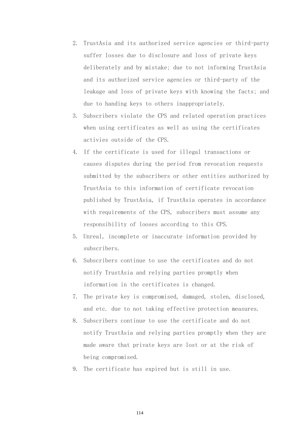- 2. TrustAsia and its authorized service agencies or third-party suffer losses due to disclosure and loss of private keys deliberately and by mistake; due to not informing TrustAsia and its authorized service agencies or third-party of the leakage and loss of private keys with knowing the facts; and due to handing keys to others inappropriately.
- 3. Subscribers violate the CPS and related operation practices when using certificates as well as using the certificates activies outside of the CPS.
- 4. If the certificate is used for illegal transactions or causes disputes during the period from revocation requests submitted by the subscribers or other entities authorized by TrustAsia to this information of certificate revocation published by TrustAsia, if TrustAsia operates in accordance with requirements of the CPS, subscribers must assume any responsibility of looses according to this CPS.
- 5. Unreal, incomplete or inaccurate information provided by subscribers.
- 6. Subscribers continue to use the certificates and do not notify TrustAsia and relying parties promptly when information in the certificates is changed.
- 7. The private key is compromised, damaged, stolen, disclosed, and etc. due to not taking effective protection measures.
- 8. Subscribers continue to use the certificate and do not notify TrustAsia and relying parties promptly when they are made aware that private keys are lost or at the risk of being compromised.
- 9. The certificate has expired but is still in use.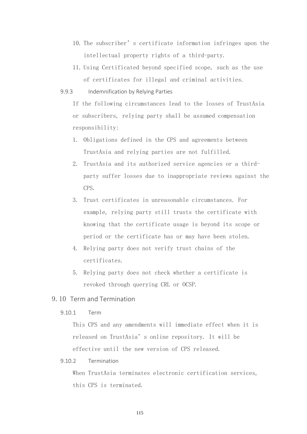- 10. The subscriber's certificate information infringes upon the intellectual property rights of a third-party.
- 11. Using Certificated beyond specified scope, such as the use of certificates for illegal and criminal activities.
- 9.9.3 Indemnification by Relying Parties

If the following circumstances lead to the losses of TrustAsia or subscribers, relying party shall be assumed compensation responsibility:

- 1. Obligations defined in the CPS and agreements between TrustAsia and relying parties are not fulfilled.
- 2. TrustAsia and its authorized service agencies or a thirdparty suffer losses due to inappropriate reviews against the CPS.
- 3. Trust certificates in unreasonable circumstances. For example, relying party still trusts the certificate with knowing that the certificate usage is beyond its scope or period or the certificate has or may have been stolen.
- 4. Relying party does not verify trust chains of the certificates.
- 5. Relying party does not check whether a certificate is revoked through querying CRL or OCSP.
- 9.10 Term and Termination
	- 9.10.1 Term

This CPS and any amendments will immediate effect when it is released on TrustAsia's online repository. It will be effective until the new version of CPS released.

9.10.2 Termination

When TrustAsia terminates electronic certification services, this CPS is terminated.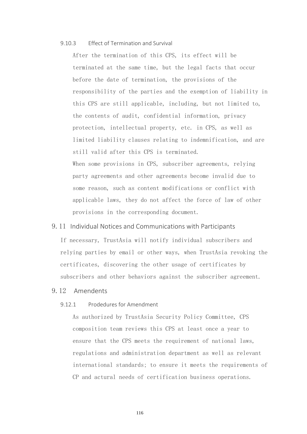#### 9.10.3 Effect of Termination and Survival

After the termination of this CPS, its effect will be terminated at the same time, but the legal facts that occur before the date of termination, the provisions of the responsibility of the parties and the exemption of liability in this CPS are still applicable, including, but not limited to, the contents of audit, confidential information, privacy protection, intellectual property, etc. in CPS, as well as limited liability clauses relating to indemnification, and are still valid after this CPS is terminated. When some provisions in CPS, subscriber agreements, relying party agreements and other agreements become invalid due to some reason, such as content modifications or conflict with

applicable laws, they do not affect the force of law of other provisions in the corresponding document.

#### 9.11 Individual Notices and Communications with Participants

If necessary, TrustAsia will notify individual subscribers and relying parties by email or other ways, when TrustAsia revoking the certificates, discovering the other usage of certificates by subscribers and other behaviors against the subscriber agreement.

# 9.12 Amendents

#### 9.12.1 Prodedures for Amendment

As authorized by TrustAsia Security Policy Committee, CPS composition team reviews this CPS at least once a year to ensure that the CPS meets the requirement of national laws, regulations and administration department as well as relevant international standards; to ensure it meets the requirements of CP and actural needs of certification business operations.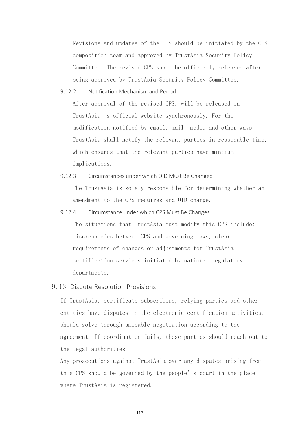Revisions and updates of the CPS should be initiated by the CPS composition team and approved by TrustAsia Security Policy Committee. The revised CPS shall be officially released after being approved by TrustAsia Security Policy Committee.

9.12.2 Notification Mechanism and Period

After approval of the revised CPS, will be released on TrustAsia's official website synchronously. For the modification notified by email, mail, media and other ways, TrustAsia shall notify the relevant parties in reasonable time, which ensures that the relevant parties have minimum implications.

- 9.12.3 Circumstances under which OID Must Be Changed The TrustAsia is solely responsible for determining whether an amendment to the CPS requires and OID change.
- 9.12.4 Circumstance under which CPS Must Be Changes The situations that TrustAsia must modify this CPS include: discrepancies between CPS and governing laws, clear requirements of changes or adjustments for TrustAsia certification services initiated by national regulatory departments.

# 9.13 Dispute Resolution Provisions

If TrustAsia, certificate subscribers, relying parties and other entities have disputes in the electronic certification activities, should solve through amicable negotiation according to the agreement. If coordination fails, these parties should reach out to the legal authorities.

Any prosecutions against TrustAsia over any disputes arising from this CPS should be governed by the people's court in the place where TrustAsia is registered.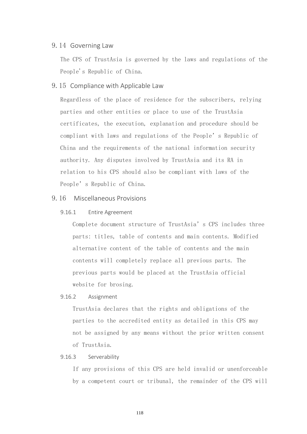# 9.14 Governing Law

The CPS of TrustAsia is governed by the laws and regulations of the People's Republic of China.

# 9.15 Compliance with Applicable Law

Regardless of the place of residence for the subscribers, relying parties and other entities or place to use of the TrustAsia certificates, the execution, explanation and procedure should be compliant with laws and regulations of the People's Republic of China and the requirements of the national information security authority. Any disputes involved by TrustAsia and its RA in relation to his CPS should also be compliant with laws of the People's Republic of China.

# 9.16 Miscellaneous Provisions

#### 9.16.1 Entire Agreement

Complete document structure of TrustAsia's CPS includes three parts: titles, table of contents and main contents. Modified alternative content of the table of contents and the main contents will completely replace all previous parts. The previous parts would be placed at the TrustAsia official website for brosing.

# 9.16.2 Assignment

TrustAsia declares that the rights and obligations of the parties to the accredited entity as detailed in this CPS may not be assigned by any means without the prior written consent of TrustAsia.

#### 9.16.3 Serverability

If any provisions of this CPS are held invalid or unenforceable by a competent court or tribunal, the remainder of the CPS will